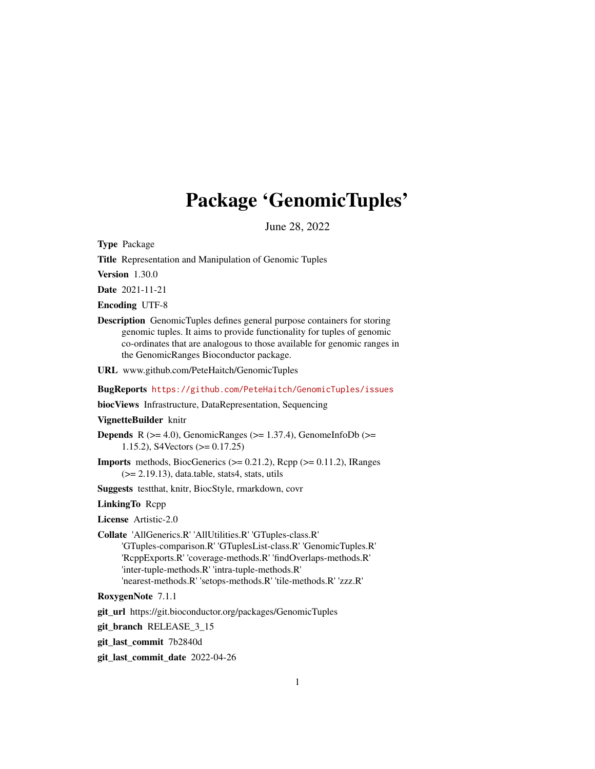# Package 'GenomicTuples'

June 28, 2022

<span id="page-0-0"></span>Type Package

Title Representation and Manipulation of Genomic Tuples

Version 1.30.0

Date 2021-11-21

Encoding UTF-8

Description GenomicTuples defines general purpose containers for storing genomic tuples. It aims to provide functionality for tuples of genomic co-ordinates that are analogous to those available for genomic ranges in the GenomicRanges Bioconductor package.

URL www.github.com/PeteHaitch/GenomicTuples

BugReports <https://github.com/PeteHaitch/GenomicTuples/issues>

biocViews Infrastructure, DataRepresentation, Sequencing

VignetteBuilder knitr

**Depends** R ( $>= 4.0$ ), GenomicRanges ( $>= 1.37.4$ ), GenomeInfoDb ( $>=$ 1.15.2), S4Vectors (>= 0.17.25)

**Imports** methods, BiocGenerics ( $> = 0.21.2$ ), Rcpp ( $> = 0.11.2$ ), IRanges  $(>= 2.19.13)$ , data.table, stats4, stats, utils

Suggests testthat, knitr, BiocStyle, rmarkdown, covr

LinkingTo Rcpp

License Artistic-2.0

Collate 'AllGenerics.R' 'AllUtilities.R' 'GTuples-class.R' 'GTuples-comparison.R' 'GTuplesList-class.R' 'GenomicTuples.R' 'RcppExports.R' 'coverage-methods.R' 'findOverlaps-methods.R' 'inter-tuple-methods.R' 'intra-tuple-methods.R' 'nearest-methods.R' 'setops-methods.R' 'tile-methods.R' 'zzz.R'

RoxygenNote 7.1.1

git\_url https://git.bioconductor.org/packages/GenomicTuples

git\_branch RELEASE\_3\_15

git\_last\_commit 7b2840d

git\_last\_commit\_date 2022-04-26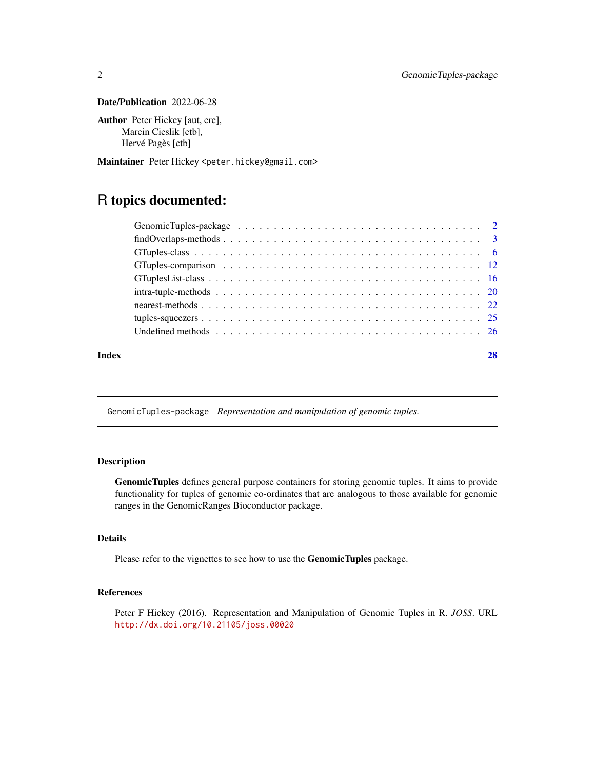### <span id="page-1-0"></span>Date/Publication 2022-06-28

Author Peter Hickey [aut, cre], Marcin Cieslik [ctb], Hervé Pagès [ctb]

Maintainer Peter Hickey <peter.hickey@gmail.com>

# R topics documented:

|       | $findOverlaps-methods \dots \dots \dots \dots \dots \dots \dots \dots \dots \dots \dots \dots \dots \dots \dots \dots \dots$ |  |
|-------|------------------------------------------------------------------------------------------------------------------------------|--|
|       |                                                                                                                              |  |
|       |                                                                                                                              |  |
|       |                                                                                                                              |  |
|       |                                                                                                                              |  |
|       |                                                                                                                              |  |
|       |                                                                                                                              |  |
|       |                                                                                                                              |  |
| Index |                                                                                                                              |  |

GenomicTuples-package *Representation and manipulation of genomic tuples.*

# Description

GenomicTuples defines general purpose containers for storing genomic tuples. It aims to provide functionality for tuples of genomic co-ordinates that are analogous to those available for genomic ranges in the GenomicRanges Bioconductor package.

# Details

Please refer to the vignettes to see how to use the GenomicTuples package.

# References

Peter F Hickey (2016). Representation and Manipulation of Genomic Tuples in R. *JOSS*. URL <http://dx.doi.org/10.21105/joss.00020>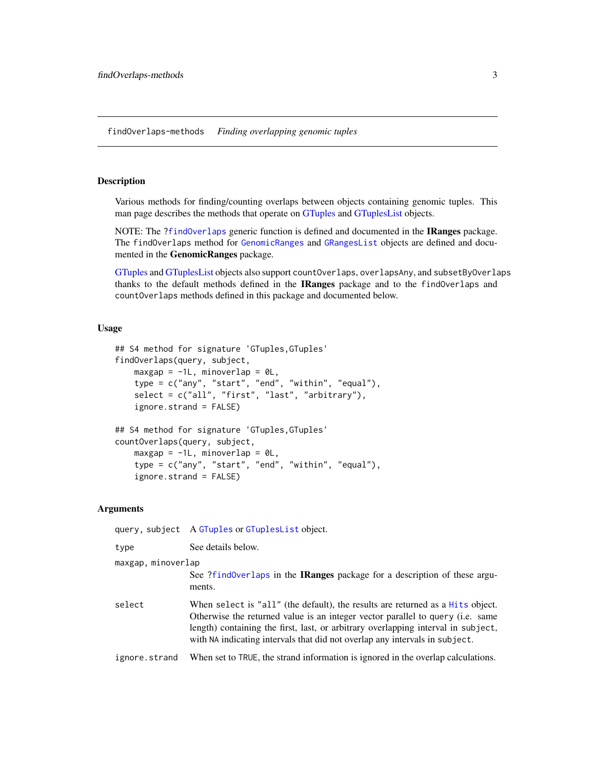<span id="page-2-2"></span><span id="page-2-0"></span>findOverlaps-methods *Finding overlapping genomic tuples*

# <span id="page-2-1"></span>**Description**

Various methods for finding/counting overlaps between objects containing genomic tuples. This man page describes the methods that operate on [GTuples](#page-5-1) and [GTuplesList](#page-15-1) objects.

NOTE: The [?findOverlaps](#page-2-1) generic function is defined and documented in the IRanges package. The findOverlaps method for [GenomicRanges](#page-0-0) and [GRangesList](#page-0-0) objects are defined and documented in the GenomicRanges package.

[GTuples](#page-5-1) and [GTuplesList](#page-15-1) objects also support countOverlaps, overlapsAny, and subsetByOverlaps thanks to the default methods defined in the IRanges package and to the findOverlaps and countOverlaps methods defined in this package and documented below.

### Usage

```
## S4 method for signature 'GTuples,GTuples'
findOverlaps(query, subject,
   maxgap = -1L, minoverlap = OL,
    type = c("any", "start", "end", "within", "equal"),
    select = c("all", "first", "last", "arbitrary"),
    ignore.strand = FALSE)
## S4 method for signature 'GTuples,GTuples'
countOverlaps(query, subject,
   maxgap = -1L, minoverlap = OL,
    type = c("any", "start", "end", "within", "equal"),
    ignore.strand = FALSE)
```
#### Arguments

query, subject A [GTuples](#page-5-1) or [GTuplesList](#page-15-1) object.

type See details below. maxgap, minoverlap

> See [?findOverlaps](#page-2-1) in the IRanges package for a description of these arguments.

select When select is "all" (the default), the results are returned as a [Hits](#page-0-0) object. Otherwise the returned value is an integer vector parallel to query (i.e. same length) containing the first, last, or arbitrary overlapping interval in subject, with NA indicating intervals that did not overlap any intervals in subject.

ignore.strand When set to TRUE, the strand information is ignored in the overlap calculations.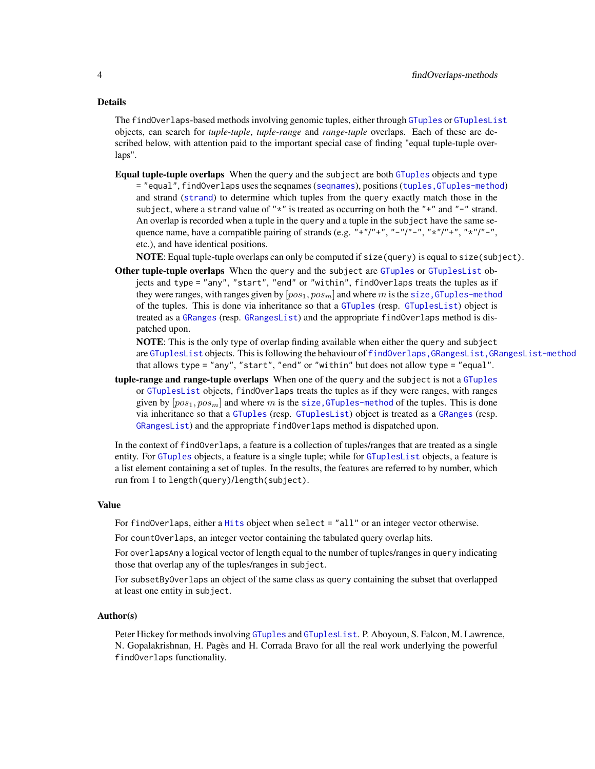#### <span id="page-3-0"></span>Details

The findOverlaps-based methods involving genomic tuples, either through [GTuples](#page-5-1) or [GTuplesList](#page-15-1) objects, can search for *tuple-tuple*, *tuple-range* and *range-tuple* overlaps. Each of these are described below, with attention paid to the important special case of finding "equal tuple-tuple overlaps".

Equal tuple-tuple overlaps When the query and the subject are both [GTuples](#page-5-1) objects and type = "equal", findOverlaps uses the seqnames ([seqnames](#page-0-0)), positions ([tuples,GTuples-method](#page-0-0)) and strand ([strand](#page-0-0)) to determine which tuples from the query exactly match those in the subject, where a strand value of " $*$ " is treated as occurring on both the " $+$ " and " $-$ " strand. An overlap is recorded when a tuple in the query and a tuple in the subject have the same sequence name, have a compatible pairing of strands (e.g.  $" + "/" +", "-"/" -", "*"/" +", "*"/" -", "$ etc.), and have identical positions.

NOTE: Equal tuple-tuple overlaps can only be computed if size(query) is equal to size(subject).

Other tuple-tuple overlaps When the query and the subject are [GTuples](#page-5-1) or [GTuplesList](#page-15-1) objects and type = "any", "start", "end" or "within", findOverlaps treats the tuples as if they were ranges, with ranges given by  $[pos_1, pos_m]$  and where m is the size, GTuples-method of the tuples. This is done via inheritance so that a [GTuples](#page-5-1) (resp. [GTuplesList](#page-15-1)) object is treated as a [GRanges](#page-0-0) (resp. [GRangesList](#page-0-0)) and the appropriate findOverlaps method is dispatched upon.

NOTE: This is the only type of overlap finding available when either the query and subject are [GTuplesList](#page-15-1) objects. This is following the behaviour of [findOverlaps,GRangesList,GRangesList-method](#page-0-0) that allows type = "any", "start", "end" or "within" but does not allow type = "equal".

tuple-range and range-tuple overlaps When one of the query and the subject is not a [GTuples](#page-5-1) or [GTuplesList](#page-15-1) objects, findOverlaps treats the tuples as if they were ranges, with ranges given by  $[pos_1, pos_m]$  and where m is the size, GTuples-method of the tuples. This is done via inheritance so that a [GTuples](#page-5-1) (resp. [GTuplesList](#page-15-1)) object is treated as a [GRanges](#page-0-0) (resp. [GRangesList](#page-0-0)) and the appropriate findOverlaps method is dispatched upon.

In the context of findOverlaps, a feature is a collection of tuples/ranges that are treated as a single entity. For [GTuples](#page-5-1) objects, a feature is a single tuple; while for [GTuplesList](#page-15-1) objects, a feature is a list element containing a set of tuples. In the results, the features are referred to by number, which run from 1 to length(query)/length(subject).

#### Value

For findOverlaps, either a [Hits](#page-0-0) object when select = "all" or an integer vector otherwise.

For countOverlaps, an integer vector containing the tabulated query overlap hits.

For overlapsAny a logical vector of length equal to the number of tuples/ranges in query indicating those that overlap any of the tuples/ranges in subject.

For subsetByOverlaps an object of the same class as query containing the subset that overlapped at least one entity in subject.

#### Author(s)

Peter Hickey for methods involving [GTuples](#page-5-1) and [GTuplesList](#page-15-1). P. Aboyoun, S. Falcon, M. Lawrence, N. Gopalakrishnan, H. Pagès and H. Corrada Bravo for all the real work underlying the powerful findOverlaps functionality.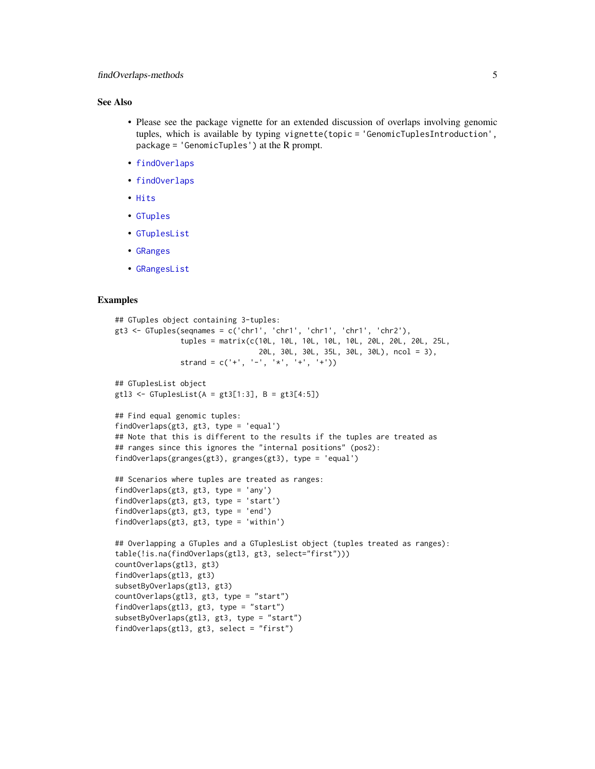# <span id="page-4-0"></span>See Also

- Please see the package vignette for an extended discussion of overlaps involving genomic tuples, which is available by typing vignette(topic = 'GenomicTuplesIntroduction', package = 'GenomicTuples') at the R prompt.
- [findOverlaps](#page-2-1)
- [findOverlaps](#page-2-1)
- [Hits](#page-0-0)
- [GTuples](#page-5-2)
- [GTuplesList](#page-15-2)
- [GRanges](#page-0-0)
- [GRangesList](#page-0-0)

```
## GTuples object containing 3-tuples:
gt3 <- GTuples(seqnames = c('chr1', 'chr1', 'chr1', 'chr1', 'chr2'),
               tuples = matrix(c(10L, 10L, 10L, 10L, 10L, 20L, 20L, 20L, 25L,
                                 20L, 30L, 30L, 35L, 30L, 30L), ncol = 3),
               strand = c('+'', '-'', '*/', '+'', '+''))## GTuplesList object
gt13 \leftarrow GTuplesList(A = gt3[1:3], B = gt3[4:5])
## Find equal genomic tuples:
findOverlaps(gt3, gt3, type = 'equal')
## Note that this is different to the results if the tuples are treated as
## ranges since this ignores the "internal positions" (pos2):
findOverlaps(granges(gt3), granges(gt3), type = 'equal')
## Scenarios where tuples are treated as ranges:
findOverlaps(gt3, gt3, type = 'any')
findOverlaps(gt3, gt3, type = 'start')
findOverlaps(gt3, gt3, type = 'end')
findOverlaps(gt3, gt3, type = 'within')
## Overlapping a GTuples and a GTuplesList object (tuples treated as ranges):
table(!is.na(findOverlaps(gtl3, gt3, select="first")))
countOverlaps(gtl3, gt3)
findOverlaps(gtl3, gt3)
subsetByOverlaps(gtl3, gt3)
countOverlaps(gtl3, gt3, type = "start")
findOverlaps(gtl3, gt3, type = "start")
subsetByOverlaps(gtl3, gt3, type = "start")
findOverlaps(gtl3, gt3, select = "first")
```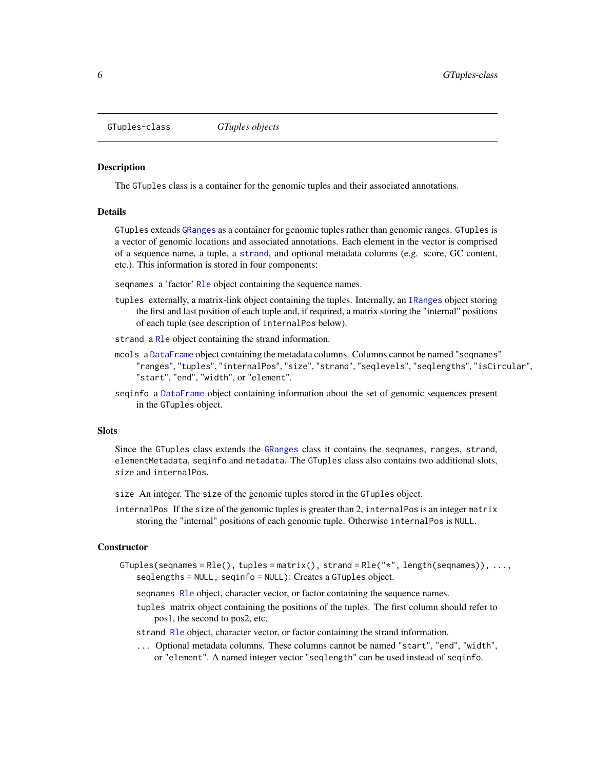<span id="page-5-2"></span><span id="page-5-0"></span>GTuples-class *GTuples objects*

#### <span id="page-5-1"></span>Description

The GTuples class is a container for the genomic tuples and their associated annotations.

### Details

GTuples extends [GRanges](#page-0-0) as a container for genomic tuples rather than genomic ranges. GTuples is a vector of genomic locations and associated annotations. Each element in the vector is comprised of a sequence name, a tuple, a [strand](#page-0-0), and optional metadata columns (e.g. score, GC content, etc.). This information is stored in four components:

sequames a 'factor' R<sub>le</sub> object containing the sequence names.

- tuples externally, a matrix-link object containing the tuples. Internally, an [IRanges](#page-0-0) object storing the first and last position of each tuple and, if required, a matrix storing the "internal" positions of each tuple (see description of internalPos below).
- strand a [Rle](#page-0-0) object containing the strand information.
- mcols a [DataFrame](#page-0-0) object containing the metadata columns. Columns cannot be named "seqnames" "ranges", "tuples", "internalPos", "size", "strand", "seqlevels", "seqlengths", "isCircular", "start", "end", "width", or "element".
- seqinfo a [DataFrame](#page-0-0) object containing information about the set of genomic sequences present in the GTuples object.

#### **Slots**

Since the GTuples class extends the [GRanges](#page-0-0) class it contains the seqnames, ranges, strand, elementMetadata, seqinfo and metadata. The GTuples class also contains two additional slots, size and internalPos.

- size An integer. The size of the genomic tuples stored in the GTuples object.
- internalPos If the size of the genomic tuples is greater than 2, internalPos is an integer matrix storing the "internal" positions of each genomic tuple. Otherwise internalPos is NULL.

#### Constructor

GTuples(seqnames = Rle(), tuples = matrix(), strand = Rle(" $\star$ ", length(seqnames)), ..., seqlengths = NULL, seqinfo = NULL): Creates a GTuples object.

seqnames [Rle](#page-0-0) object, character vector, or factor containing the sequence names.

- tuples matrix object containing the positions of the tuples. The first column should refer to pos1, the second to pos2, etc.
- strand [Rle](#page-0-0) object, character vector, or factor containing the strand information.
- ... Optional metadata columns. These columns cannot be named "start", "end", "width", or "element". A named integer vector "seqlength" can be used instead of seqinfo.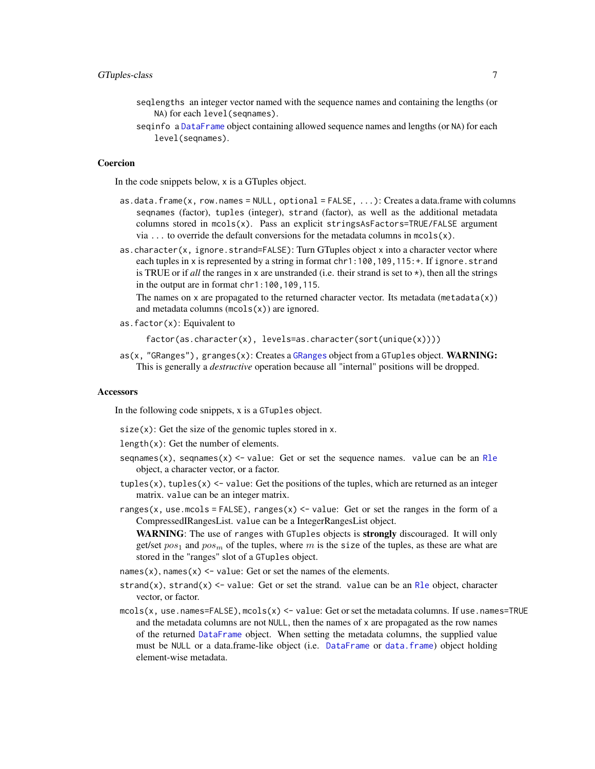- <span id="page-6-0"></span>seqlengths an integer vector named with the sequence names and containing the lengths (or NA) for each level(seqnames).
- seqinfo a [DataFrame](#page-0-0) object containing allowed sequence names and lengths (or NA) for each level(seqnames).

#### Coercion

In the code snippets below, x is a GTuples object.

- as.data.frame(x, row.names = NULL, optional =  $FALSE, ...)$ : Creates a data.frame with columns seqnames (factor), tuples (integer), strand (factor), as well as the additional metadata columns stored in mcols(x). Pass an explicit stringsAsFactors=TRUE/FALSE argument via  $\dots$  to override the default conversions for the metadata columns in mcols(x).
- as.character(x, ignore.strand=FALSE): Turn GTuples object x into a character vector where each tuples in x is represented by a string in format chr1:100,109,115: +. If ignore.strand is TRUE or if *all* the ranges in x are unstranded (i.e. their strand is set to  $\star$ ), then all the strings in the output are in format chr1:100,109,115.

The names on x are propagated to the returned character vector. Its metadata (metadata $(x)$ ) and metadata columns  $(mcols(x))$  are ignored.

as.factor(x): Equivalent to

factor(as.character(x), levels=as.character(sort(unique(x))))

 $aS(x, 'GRangeS'')$ , granges $(x)$ : Creates a [GRanges](#page-0-0) object from a GTuples object. WARNING: This is generally a *destructive* operation because all "internal" positions will be dropped.

#### Accessors

In the following code snippets, x is a GTuples object.

 $size(x)$ : Get the size of the genomic tuples stored in x.

length(x): Get the number of elements.

- seqnames(x), seqnames(x)  $\le$  value: Get or set the sequence names. value can be an [Rle](#page-0-0) object, a character vector, or a factor.
- tuples(x), tuples(x)  $\le$  value: Get the positions of the tuples, which are returned as an integer matrix. value can be an integer matrix.
- ranges(x, use.mcols = FALSE), ranges(x)  $\le$  value: Get or set the ranges in the form of a CompressedIRangesList. value can be a IntegerRangesList object.

WARNING: The use of ranges with GTuples objects is strongly discouraged. It will only get/set  $pos_1$  and  $pos_m$  of the tuples, where m is the size of the tuples, as these are what are stored in the "ranges" slot of a GTuples object.

- names(x), names(x)  $\le$  value: Get or set the names of the elements.
- strand(x), strand(x)  $\le$  value: Get or set the strand. value can be an [Rle](#page-0-0) object, character vector, or factor.
- $mcols(x, use.name = FALSE),  $mcols(x) \le -value$ : Get or set the metadata columns. If use.name = TRUE$ and the metadata columns are not NULL, then the names of x are propagated as the row names of the returned [DataFrame](#page-0-0) object. When setting the metadata columns, the supplied value must be NULL or a data.frame-like object (i.e. [DataFrame](#page-0-0) or [data.frame](#page-0-0)) object holding element-wise metadata.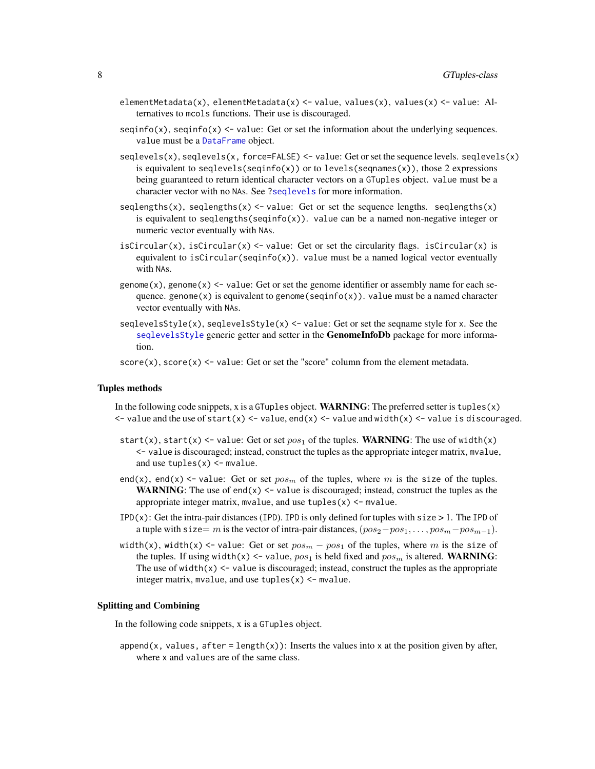- <span id="page-7-0"></span>elementMetadata(x), elementMetadata(x) <- value, values(x), values(x) <- value: Alternatives to mcols functions. Their use is discouraged.
- $seqinfo(x)$ ,  $seqinfo(x) \leq value$ : Get or set the information about the underlying sequences. value must be a [DataFrame](#page-0-0) object.
- $s$ eqlevels(x), seqlevels(x, force=FALSE)  $\le$  value: Get or set the sequence levels. seqlevels(x) is equivalent to seqlevels(seqinfo(x)) or to levels(seqnames(x)), those 2 expressions being guaranteed to return identical character vectors on a GTuples object. value must be a character vector with no NAs. See [?seqlevels](#page-0-0) for more information.
- seqlengths(x), seqlengths(x)  $\le$  value: Get or set the sequence lengths. seqlengths(x) is equivalent to seqlengths(seqinfo(x)). value can be a named non-negative integer or numeric vector eventually with NAs.
- isCircular(x), isCircular(x)  $\le$  value: Get or set the circularity flags. isCircular(x) is equivalent to isCircular(seqinfo(x)). value must be a named logical vector eventually with NAs.
- genome(x), genome(x)  $\leq$  value: Get or set the genome identifier or assembly name for each sequence. genome(x) is equivalent to genome(seqinfo(x)). value must be a named character vector eventually with NAs.
- seqlevelsStyle(x), seqlevelsStyle(x)  $\le$  value: Get or set the seqname style for x. See the [seqlevelsStyle](#page-0-0) generic getter and setter in the **GenomeInfoDb** package for more information.
- $score(x)$ ,  $score(x) \leq value$ : Get or set the "score" column from the element metadata.

#### Tuples methods

- In the following code snippets, x is a GTuples object. **WARNING**: The preferred setter is tuples $(x)$  $\le$  value and the use of start(x)  $\le$  value, end(x)  $\le$  value and width(x)  $\le$  value is discouraged.
- start(x), start(x)  $\le$  value: Get or set pos<sub>1</sub> of the tuples. WARNING: The use of width(x) <- value is discouraged; instead, construct the tuples as the appropriate integer matrix, mvalue, and use  $tuples(x) < -$  mvalue.
- end(x), end(x)  $\le$  value: Get or set  $pos_m$  of the tuples, where m is the size of the tuples. WARNING: The use of end(x)  $\le$  value is discouraged; instead, construct the tuples as the appropriate integer matrix, mvalue, and use  $tuples(x) < -$  mvalue.
- $IPD(x)$ : Get the intra-pair distances (IPD). IPD is only defined for tuples with size  $> 1$ . The IPD of a tuple with size= m is the vector of intra-pair distances,  $(pos_2-pos_1, \ldots, pos_m-pos_{m-1})$ .
- width(x), width(x) <- value: Get or set  $pos_m pos_1$  of the tuples, where m is the size of the tuples. If using width(x) <- value,  $pos_1$  is held fixed and  $pos_m$  is altered. WARNING: The use of width $(x)$   $\le$  value is discouraged; instead, construct the tuples as the appropriate integer matrix, mvalue, and use  $tuples(x) < -$  mvalue.

#### Splitting and Combining

In the following code snippets, x is a GTuples object.

append(x, values, after = length(x)): Inserts the values into x at the position given by after, where x and values are of the same class.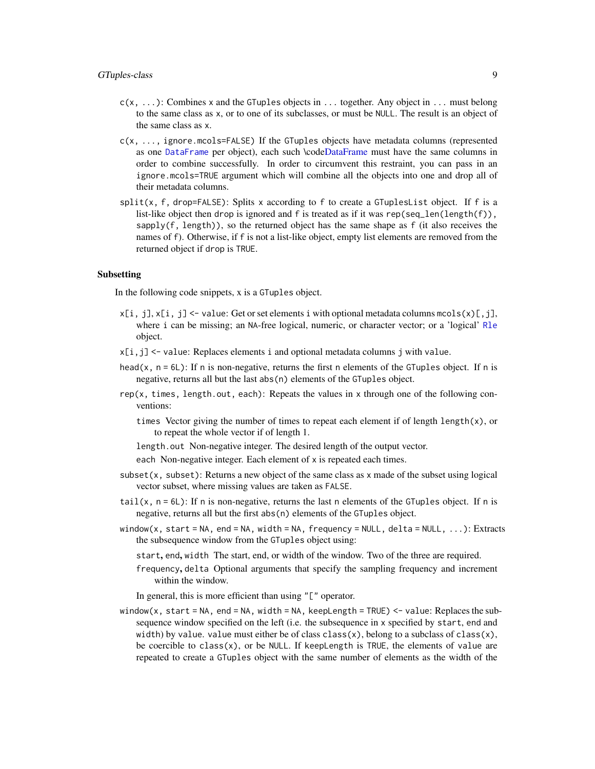- <span id="page-8-0"></span> $c(x, \ldots)$ : Combines x and the GTuples objects in  $\ldots$  together. Any object in  $\ldots$  must belong to the same class as x, or to one of its subclasses, or must be NULL. The result is an object of the same class as x.
- $c(x, \ldots)$ , ignore.mcols=FALSE) If the GTuples objects have metadata columns (represented as one [DataFrame](#page-0-0) per object), each such \cod[eDataFrame](#page-0-0) must have the same columns in order to combine successfully. In order to circumvent this restraint, you can pass in an ignore.mcols=TRUE argument which will combine all the objects into one and drop all of their metadata columns.
- $split(x, f, drop=FALSE)$ : Splits x according to f to create a GTuplesList object. If f is a list-like object then drop is ignored and f is treated as if it was rep(seq\_len(length(f)), sapply(f, length)), so the returned object has the same shape as f (it also receives the names of f). Otherwise, if f is not a list-like object, empty list elements are removed from the returned object if drop is TRUE.

#### Subsetting

In the following code snippets, x is a GTuples object.

- $x[i, j], x[i, j] \le$  value: Get or set elements i with optional metadata columns mcols $(x)[j, j]$ , where i can be missing; an NA-free logical, numeric, or character vector; or a 'logical' [Rle](#page-0-0) object.
- x[i,j] <- value: Replaces elements i and optional metadata columns j with value.
- head( $x$ ,  $n = 6L$ ): If n is non-negative, returns the first n elements of the GTuples object. If n is negative, returns all but the last abs(n) elements of the GTuples object.
- rep(x, times, length.out, each): Repeats the values in x through one of the following conventions:
	- times Vector giving the number of times to repeat each element if of length length(x), or to repeat the whole vector if of length 1.
	- length.out Non-negative integer. The desired length of the output vector. each Non-negative integer. Each element of x is repeated each times.
- subset $(x, \text{subset})$ : Returns a new object of the same class as x made of the subset using logical vector subset, where missing values are taken as FALSE.
- tail(x,  $n = 6L$ ): If n is non-negative, returns the last n elements of the GTuples object. If n is negative, returns all but the first abs(n) elements of the GTuples object.
- window(x, start = NA, end = NA, width = NA, frequency = NULL, delta = NULL,  $\dots$ ): Extracts the subsequence window from the GTuples object using:
	- start, end, width The start, end, or width of the window. Two of the three are required. frequency, delta Optional arguments that specify the sampling frequency and increment
		- within the window.

In general, this is more efficient than using "[" operator.

window(x, start = NA, end = NA, width = NA, keepLength = TRUE)  $\le$  value: Replaces the subsequence window specified on the left (i.e. the subsequence in x specified by start, end and width) by value. value must either be of class class(x), belong to a subclass of class(x), be coercible to  $class(x)$ , or be NULL. If keepLength is TRUE, the elements of value are repeated to create a GTuples object with the same number of elements as the width of the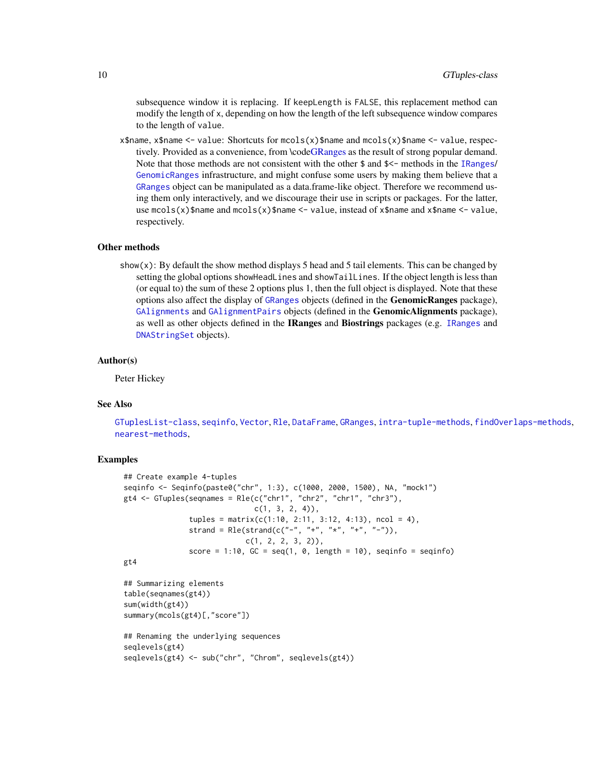<span id="page-9-0"></span>subsequence window it is replacing. If keepLength is FALSE, this replacement method can modify the length of x, depending on how the length of the left subsequence window compares to the length of value.

x\$name, x\$name <- value: Shortcuts for mcols(x)\$name and mcols(x)\$name <- value, respectively. Provided as a convenience, from \cod[eGRanges](#page-0-0) as the result of strong popular demand. Note that those methods are not consistent with the other \$ and \$<- methods in the [IRanges](#page-0-0)/ [GenomicRanges](#page-0-0) infrastructure, and might confuse some users by making them believe that a [GRanges](#page-0-0) object can be manipulated as a data.frame-like object. Therefore we recommend using them only interactively, and we discourage their use in scripts or packages. For the latter, use  $mcols(x)$ \$name and  $mcols(x)$ \$name  $\leq$ - value, instead of x\$name and x\$name  $\leq$ - value, respectively.

#### Other methods

show(x): By default the show method displays 5 head and 5 tail elements. This can be changed by setting the global options showHeadLines and showTailLines. If the object length is less than (or equal to) the sum of these 2 options plus 1, then the full object is displayed. Note that these options also affect the display of [GRanges](#page-0-0) objects (defined in the GenomicRanges package), [GAlignments](#page-0-0) and [GAlignmentPairs](#page-0-0) objects (defined in the GenomicAlignments package), as well as other objects defined in the IRanges and Biostrings packages (e.g. [IRanges](#page-0-0) and [DNAStringSet](#page-0-0) objects).

#### Author(s)

Peter Hickey

#### See Also

[GTuplesList-class](#page-15-2), [seqinfo](#page-0-0), [Vector](#page-0-0), [Rle](#page-0-0), [DataFrame](#page-0-0), [GRanges](#page-0-0), [intra-tuple-methods](#page-19-1), [findOverlaps-methods](#page-2-2), [nearest-methods](#page-21-1),

```
## Create example 4-tuples
seqinfo <- Seqinfo(paste0("chr", 1:3), c(1000, 2000, 1500), NA, "mock1")
gt4 \leftarrow GTuples(seqnames = Rle(c("chr1", "chr2", "chr1", "chr3"),
                              c(1, 3, 2, 4),
               tuples = matrix(c(1:10, 2:11, 3:12, 4:13), ncol = 4),strand = Rle(strand(c("-", "+", "*", "+", "-")),
                            c(1, 2, 2, 3, 2),
               score = 1:10, GC = seq(1, 0, length = 10), seqinfo = seqinfo)
gt4
## Summarizing elements
table(seqnames(gt4))
sum(width(gt4))
summary(mcols(gt4)[,"score"])
## Renaming the underlying sequences
seqlevels(gt4)
seqlevels(gt4) <- sub("chr", "Chrom", seqlevels(gt4))
```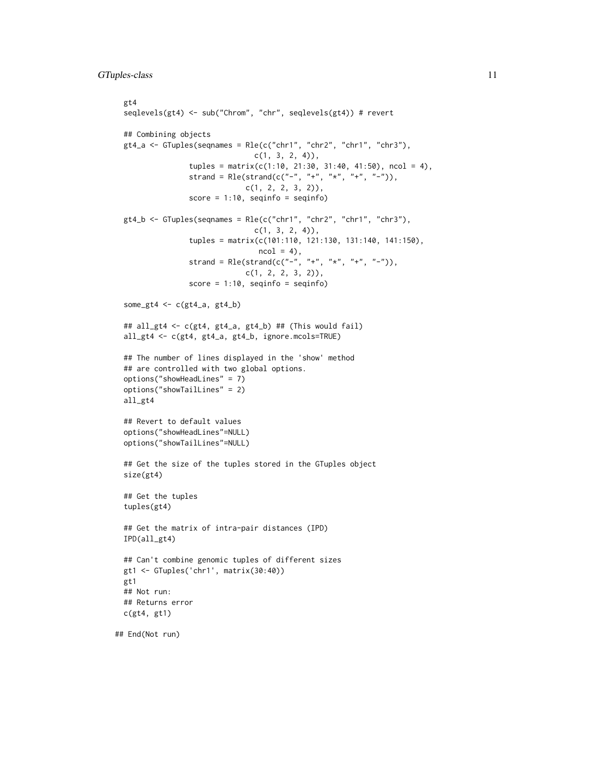```
gt4
 seqlevels(gt4) <- sub("Chrom", "chr", seqlevels(gt4)) # revert
 ## Combining objects
 gt4_a \leftarrow GTuples(seqnames = Rle(c("chr1", "chr2", "chr1", "chr3"),
                                c(1, 3, 2, 4),
                 tuples = matrix(c(1:10, 21:30, 31:40, 41:50), ncol = 4),
                 strand = Rle(strand(c("-", "+", "*", "+", "-")),
                              c(1, 2, 2, 3, 2),
                 score = 1:10, seqinfo = seqinfo)
 gt4_b <- GTuples(seqnames = Rle(c("chr1", "chr2", "chr1", "chr3"),
                                c(1, 3, 2, 4),
                 tuples = matrix(c(101:110, 121:130, 131:140, 141:150),
                                 ncol = 4,
                 strand = Rle(strand(c("-", "+", "*", "+", "-")),
                              c(1, 2, 2, 3, 2)),
                 score = 1:10, seqinfo = seqinfo)
 some_gt4 <- c(gt4_a, gt4_b)## all_gt4 <- c(gt4, gt4_a, gt4_b) ## (This would fail)
 all_gt4 <- c(gt4, gt4_a, gt4_b, ignore.mcols=TRUE)
 ## The number of lines displayed in the 'show' method
 ## are controlled with two global options.
 options("showHeadLines" = 7)
 options("showTailLines" = 2)
 all_gt4
 ## Revert to default values
 options("showHeadLines"=NULL)
 options("showTailLines"=NULL)
 ## Get the size of the tuples stored in the GTuples object
 size(gt4)
 ## Get the tuples
 tuples(gt4)
 ## Get the matrix of intra-pair distances (IPD)
 IPD(all_gt4)
 ## Can't combine genomic tuples of different sizes
 gt1 <- GTuples('chr1', matrix(30:40))
 gt1
 ## Not run:
 ## Returns error
 c(gt4, gt1)
## End(Not run)
```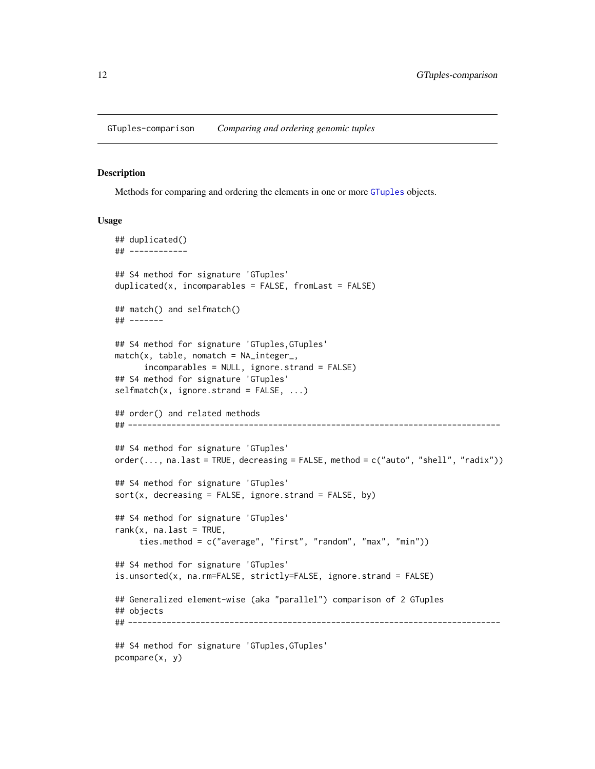<span id="page-11-0"></span>GTuples-comparison *Comparing and ordering genomic tuples*

#### Description

Methods for comparing and ordering the elements in one or more [GTuples](#page-5-1) objects.

#### Usage

```
## duplicated()
## ------------
## S4 method for signature 'GTuples'
duplicated(x, incomparables = FALSE, fromLast = FALSE)
## match() and selfmatch()
## -------
## S4 method for signature 'GTuples,GTuples'
match(x, table, nomatch = NA_interestc_incomparables = NULL, ignore.strand = FALSE)
## S4 method for signature 'GTuples'
selfmatch(x, ignore.strand = FALSE, ...)## order() and related methods
## -----------------------------------------------------------------------------
## S4 method for signature 'GTuples'
order(..., na.last = TRUE, decreasing = FALSE, method = c("auto", "shell", "radix"))
## S4 method for signature 'GTuples'
sort(x, decreasing = FALSE, ignore.start and = FALSE, by)## S4 method for signature 'GTuples'
rank(x, \text{na}.\text{last} = \text{TRUE},ties.method = c("average", "first", "random", "max", "min"))
## S4 method for signature 'GTuples'
is.unsorted(x, na.rm=FALSE, strictly=FALSE, ignore.strand = FALSE)
## Generalized element-wise (aka "parallel") comparison of 2 GTuples
## objects
## -----------------------------------------------------------------------------
## S4 method for signature 'GTuples,GTuples'
pcompare(x, y)
```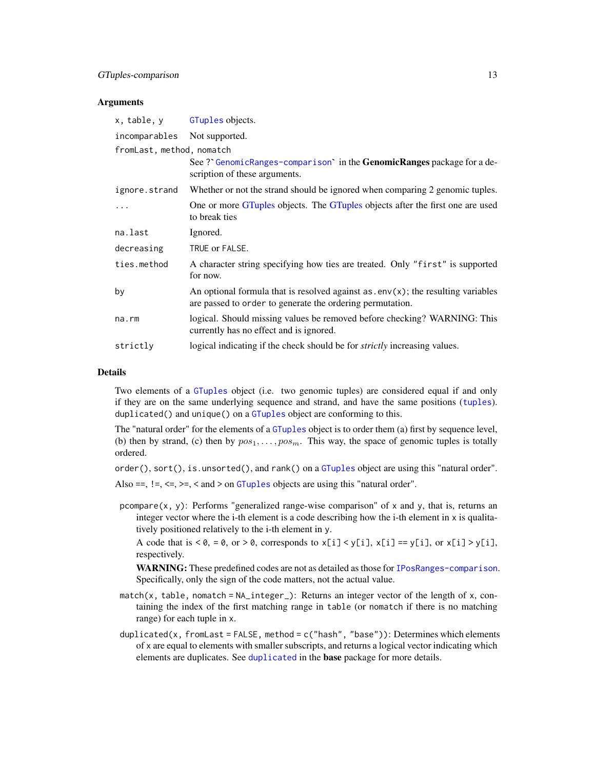### <span id="page-12-0"></span>Arguments

| x, table, y               | GTuples objects.                                                                                                                                |
|---------------------------|-------------------------------------------------------------------------------------------------------------------------------------------------|
| incomparables             | Not supported.                                                                                                                                  |
| fromLast, method, nomatch |                                                                                                                                                 |
|                           | See? GenomicRanges-comparison in the <b>GenomicRanges</b> package for a de-<br>scription of these arguments.                                    |
| ignore.strand             | Whether or not the strand should be ignored when comparing 2 genomic tuples.                                                                    |
| .                         | One or more GTuples objects. The GTuples objects after the first one are used<br>to break ties                                                  |
| na.last                   | Ignored.                                                                                                                                        |
| decreasing                | TRUE or FALSE.                                                                                                                                  |
| ties.method               | A character string specifying how ties are treated. Only "first" is supported<br>for now.                                                       |
| by                        | An optional formula that is resolved against $as.env(x)$ ; the resulting variables<br>are passed to order to generate the ordering permutation. |
| na.rm                     | logical. Should missing values be removed before checking? WARNING: This<br>currently has no effect and is ignored.                             |
| strictly                  | logical indicating if the check should be for <i>strictly</i> increasing values.                                                                |

#### Details

Two elements of a [GTuples](#page-5-1) object (i.e. two genomic tuples) are considered equal if and only if they are on the same underlying sequence and strand, and have the same positions ([tuples](#page-5-1)). duplicated() and unique() on a [GTuples](#page-5-1) object are conforming to this.

The "natural order" for the elements of a [GTuples](#page-5-1) object is to order them (a) first by sequence level, (b) then by strand, (c) then by  $pos_1, \ldots, pos_m$ . This way, the space of genomic tuples is totally ordered.

order(), sort(), is.unsorted(), and rank() on a [GTuples](#page-5-1) object are using this "natural order". Also ==,  $!=, \leq, \leq, \leq, \leq$  and  $>$  on [GTuples](#page-5-1) objects are using this "natural order".

pcompare(x, y): Performs "generalized range-wise comparison" of x and y, that is, returns an integer vector where the i-th element is a code describing how the i-th element in x is qualitatively positioned relatively to the i-th element in y.

A code that is  $< 0$ ,  $= 0$ , or  $> 0$ , corresponds to  $x[i] < y[i]$ ,  $x[i] = y[i]$ , or  $x[i] > y[i]$ , respectively.

WARNING: These predefined codes are not as detailed as those for [IPosRanges-comparison](#page-0-0). Specifically, only the sign of the code matters, not the actual value.

- match(x, table, nomatch = NA\_integer\_): Returns an integer vector of the length of x, containing the index of the first matching range in table (or nomatch if there is no matching range) for each tuple in x.
- duplicated(x, fromLast = FALSE, method =  $c('hash'', 'base''))$ : Determines which elements of x are equal to elements with smaller subscripts, and returns a logical vector indicating which elements are duplicates. See [duplicated](#page-0-0) in the base package for more details.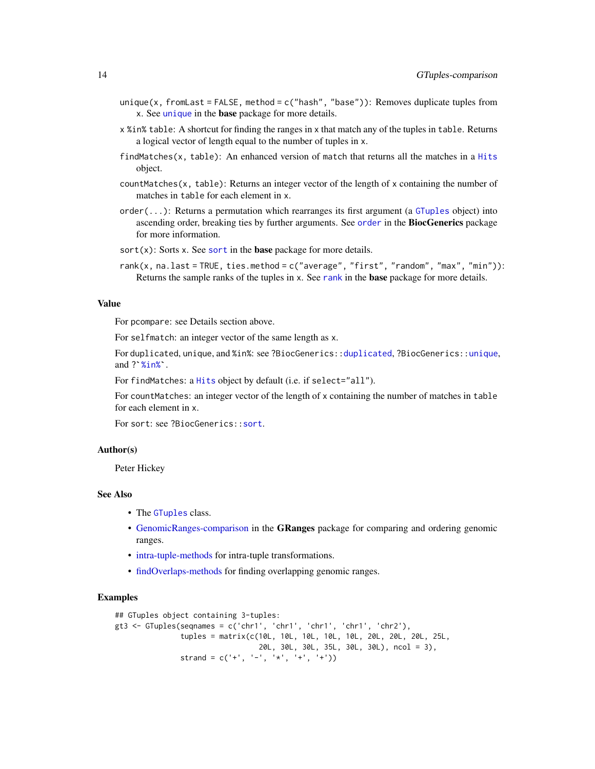- <span id="page-13-0"></span>unique(x, fromLast = FALSE, method =  $c("hash", "base"))$ : Removes duplicate tuples from x. See [unique](#page-0-0) in the base package for more details.
- x %in% table: A shortcut for finding the ranges in x that match any of the tuples in table. Returns a logical vector of length equal to the number of tuples in x.
- findMatches(x, table): An enhanced version of match that returns all the matches in a [Hits](#page-0-0) object.
- countMatches(x, table): Returns an integer vector of the length of x containing the number of matches in table for each element in x.
- order(...): Returns a permutation which rearranges its first argument (a [GTuples](#page-5-1) object) into ascending [order](#page-0-0), breaking ties by further arguments. See order in the BiocGenerics package for more information.
- [sort](#page-0-0) $(x)$ : Sorts x. See sort in the base package for more details.
- rank(x, na.last = TRUE, ties.method = c("average", "first", "random", "max", "min")): Returns the sample [rank](#page-0-0)s of the tuples in x. See rank in the **base** package for more details.

### Value

For pcompare: see Details section above.

For selfmatch: an integer vector of the same length as x.

For duplicated, unique, and %in%: see ?BiocGenerics:[:duplicated](#page-0-0), ?BiocGenerics:[:unique](#page-0-0), For selfmatc<br>For selfmatc<br>and ?`[%in%](#page-0-0)`.

For findMatches: a [Hits](#page-0-0) object by default (i.e. if select="all").

For countMatches: an integer vector of the length of x containing the number of matches in table for each element in x.

For sort: see ?BiocGenerics:: sort.

#### Author(s)

Peter Hickey

#### See Also

- The [GTuples](#page-5-1) class.
- [GenomicRanges-comparison](#page-0-0) in the GRanges package for comparing and ordering genomic ranges.
- [intra-tuple-methods](#page-19-1) for intra-tuple transformations.
- [findOverlaps-methods](#page-2-2) for finding overlapping genomic ranges.

```
## GTuples object containing 3-tuples:
gt3 <- GTuples(seqnames = c('chr1', 'chr1', 'chr1', 'chr1', 'chr2'),
               tuples = matrix(c(10L, 10L, 10L, 10L, 10L, 20L, 20L, 20L, 25L,
                                 20L, 30L, 30L, 35L, 30L, 30L), ncol = 3),
              strand = c('+'', '-'', '*/', '+'', '+''))
```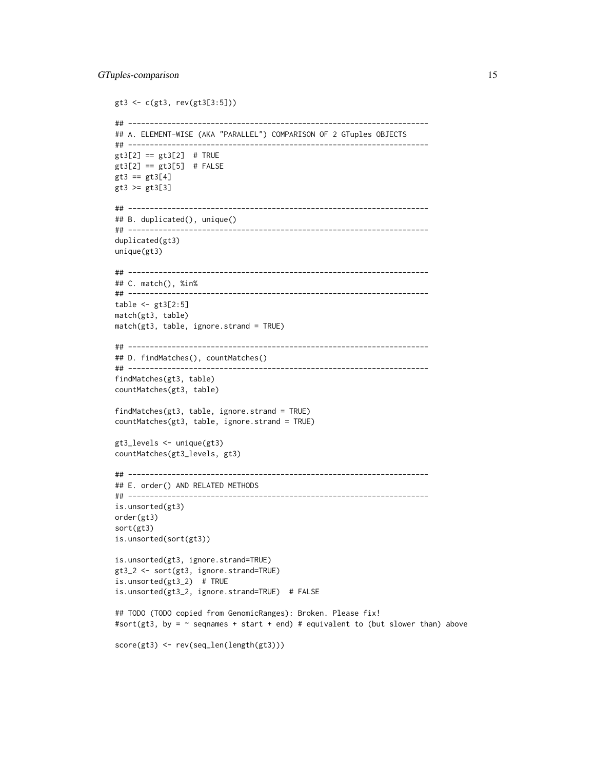```
gt3 <- c(gt3, rev(gt3[3:5]))
## ---------------------------------------------------------------------
## A. ELEMENT-WISE (AKA "PARALLEL") COMPARISON OF 2 GTuples OBJECTS
## ---------------------------------------------------------------------
gt3[2] == gt3[2] # TRUEgt3[2] == gt3[5] # FALSEgt3 == gt3[4]gt3 >= gt3[3]
## ---------------------------------------------------------------------
## B. duplicated(), unique()
## ---------------------------------------------------------------------
duplicated(gt3)
unique(gt3)
## ---------------------------------------------------------------------
## C. match(), %in%
## ---------------------------------------------------------------------
table \le gt3[2:5]
match(gt3, table)
match(gt3, table, ignore.strand = TRUE)
## ---------------------------------------------------------------------
## D. findMatches(), countMatches()
## ---------------------------------------------------------------------
findMatches(gt3, table)
countMatches(gt3, table)
findMatches(gt3, table, ignore.strand = TRUE)
countMatches(gt3, table, ignore.strand = TRUE)
gt3_levels <- unique(gt3)
countMatches(gt3_levels, gt3)
## ---------------------------------------------------------------------
## E. order() AND RELATED METHODS
## ---------------------------------------------------------------------
is.unsorted(gt3)
order(gt3)
sort(gt3)
is.unsorted(sort(gt3))
is.unsorted(gt3, ignore.strand=TRUE)
gt3_2 <- sort(gt3, ignore.strand=TRUE)
is.unsorted(gt3_2) # TRUE
is.unsorted(gt3_2, ignore.strand=TRUE) # FALSE
## TODO (TODO copied from GenomicRanges): Broken. Please fix!
#sort(gt3, by = \sim seqnames + start + end) # equivalent to (but slower than) above
score(gt3) <- rev(seq_len(length(gt3)))
```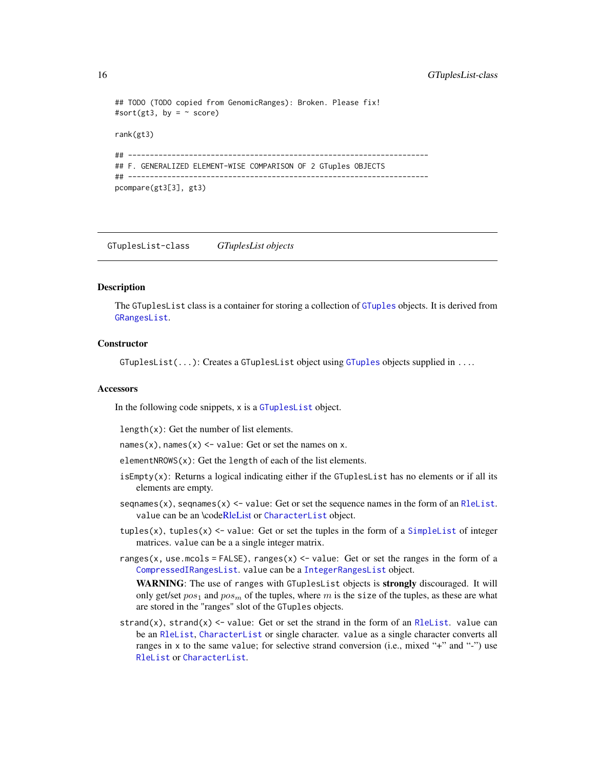### <span id="page-15-0"></span>16 GTuplesList-class

```
## TODO (TODO copied from GenomicRanges): Broken. Please fix!
#sort(gt3, by = \sim score)
rank(gt3)
## ---------------------------------------------------------------------
## F. GENERALIZED ELEMENT-WISE COMPARISON OF 2 GTuples OBJECTS
## ---------------------------------------------------------------------
pcompare(gt3[3], gt3)
```
<span id="page-15-2"></span>GTuplesList-class *GTuplesList objects*

# <span id="page-15-1"></span>**Description**

The GTuplesList class is a container for storing a collection of [GTuples](#page-5-1) objects. It is derived from [GRangesList](#page-0-0).

### **Constructor**

GTuplesList(...): Creates a GTuplesList object using [GTuples](#page-5-1) objects supplied in ....

#### **Accessors**

In the following code snippets, x is a [GTuplesList](#page-15-1) object.

length(x): Get the number of list elements.

names(x), names(x)  $\le$  value: Get or set the names on x.

elementNROWS(x): Get the length of each of the list elements.

- isEmpty(x): Returns a logical indicating either if the GTuplesList has no elements or if all its elements are empty.
- seqnames(x), seqnames(x)  $\le$  value: Get or set the sequence names in the form of an [RleList](#page-0-0). value can be an \cod[eRleList](#page-0-0) or [CharacterList](#page-0-0) object.
- tuples(x), tuples(x)  $\le$  value: Get or set the tuples in the form of a [SimpleList](#page-0-0) of integer matrices. value can be a a single integer matrix.
- ranges(x, use.mcols = FALSE), ranges(x)  $\le$  value: Get or set the ranges in the form of a [CompressedIRangesList](#page-0-0). value can be a [IntegerRangesList](#page-0-0) object.

WARNING: The use of ranges with GTuplesList objects is **strongly** discouraged. It will only get/set  $pos_1$  and  $pos_m$  of the tuples, where m is the size of the tuples, as these are what are stored in the "ranges" slot of the GTuples objects.

strand(x), strand(x)  $\le$  value: Get or set the strand in the form of an [RleList](#page-0-0). value can be an [RleList](#page-0-0), [CharacterList](#page-0-0) or single character. value as a single character converts all ranges in x to the same value; for selective strand conversion (i.e., mixed "+" and "-") use [RleList](#page-0-0) or [CharacterList](#page-0-0).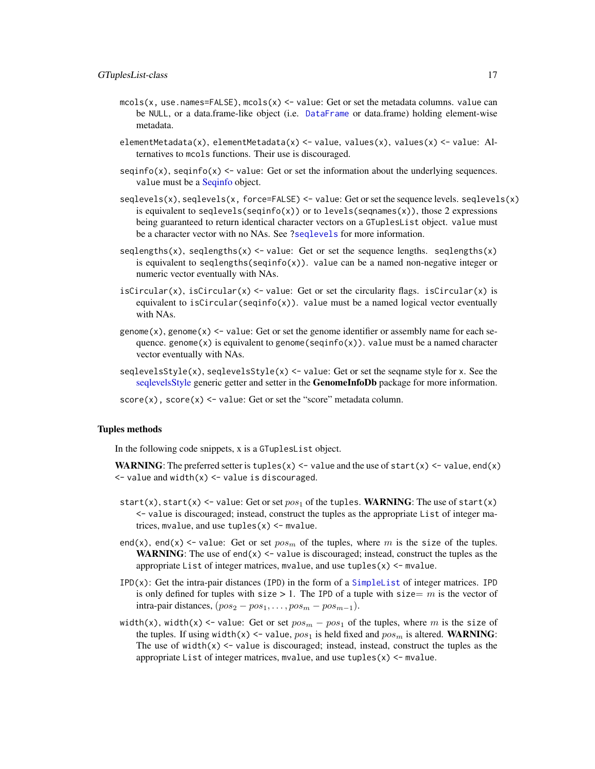- <span id="page-16-0"></span>mcols(x, use.names=FALSE), mcols(x)  $\le$  value: Get or set the metadata columns. value can be NULL, or a data.frame-like object (i.e. [DataFrame](#page-0-0) or data.frame) holding element-wise metadata.
- elementMetadata(x), elementMetadata(x) <- value, values(x), values(x) <- value: Alternatives to mcols functions. Their use is discouraged.
- $seqinfo(x)$ ,  $seqinfo(x)$  <- value: Get or set the information about the underlying sequences. value must be a [Seqinfo](#page-0-0) object.
- seqlevels(x), seqlevels(x, force=FALSE) <- value: Get or set the sequence levels. seqlevels(x) is equivalent to seqlevels(seqinfo(x)) or to levels(seqnames(x)), those 2 expressions being guaranteed to return identical character vectors on a GTuplesList object. value must be a character vector with no NAs. See [?seqlevels](#page-0-0) for more information.
- seqlengths(x), seqlengths(x)  $\le$  value: Get or set the sequence lengths. seqlengths(x) is equivalent to seqlengths(seqinfo(x)). value can be a named non-negative integer or numeric vector eventually with NAs.
- isCircular(x), isCircular(x)  $\le$  value: Get or set the circularity flags. isCircular(x) is equivalent to isCircular(seqinfo(x)). value must be a named logical vector eventually with NAs.
- genome $(x)$ , genome $(x)$  <- value: Get or set the genome identifier or assembly name for each sequence. genome(x) is equivalent to genome(seqinfo(x)). value must be a named character vector eventually with NAs.
- $seqlevelsStyle(x)$ ,  $seqlevelsStyle(x) \le value$ : Get or set the seqname style for x. See the [seqlevelsStyle](#page-0-0) generic getter and setter in the GenomeInfoDb package for more information.

 $score(x)$ ,  $score(x) \leq value$ : Get or set the "score" metadata column.

#### Tuples methods

In the following code snippets, x is a GTuplesList object.

**WARNING:** The preferred setter is tuples(x)  $\le$  value and the use of start(x)  $\le$  value, end(x)  $\le$  value and width(x)  $\le$  value is discouraged.

- start(x), start(x) <- value: Get or set  $pos_1$  of the tuples. WARNING: The use of start(x) <- value is discouraged; instead, construct the tuples as the appropriate List of integer matrices, mvalue, and use  $tuples(x) < -$  mvalue.
- end(x), end(x)  $\le$  value: Get or set  $pos_m$  of the tuples, where m is the size of the tuples. **WARNING:** The use of end(x)  $\leq$  value is discouraged; instead, construct the tuples as the appropriate List of integer matrices, mvalue, and use tuples $(x)$  <- mvalue.
- IPD(x): Get the intra-pair distances (IPD) in the form of a [SimpleList](#page-0-0) of integer matrices. IPD is only defined for tuples with size  $> 1$ . The IPD of a tuple with size = m is the vector of intra-pair distances,  $(pos_2 - pos_1, \ldots, pos_m - pos_{m-1}).$
- width(x), width(x) <- value: Get or set  $pos_m pos_1$  of the tuples, where m is the size of the tuples. If using width(x) <- value,  $pos_1$  is held fixed and  $pos_m$  is altered. WARNING: The use of width $(x)$   $\le$  value is discouraged; instead, instead, construct the tuples as the appropriate List of integer matrices, mvalue, and use tuples $(x)$  <- mvalue.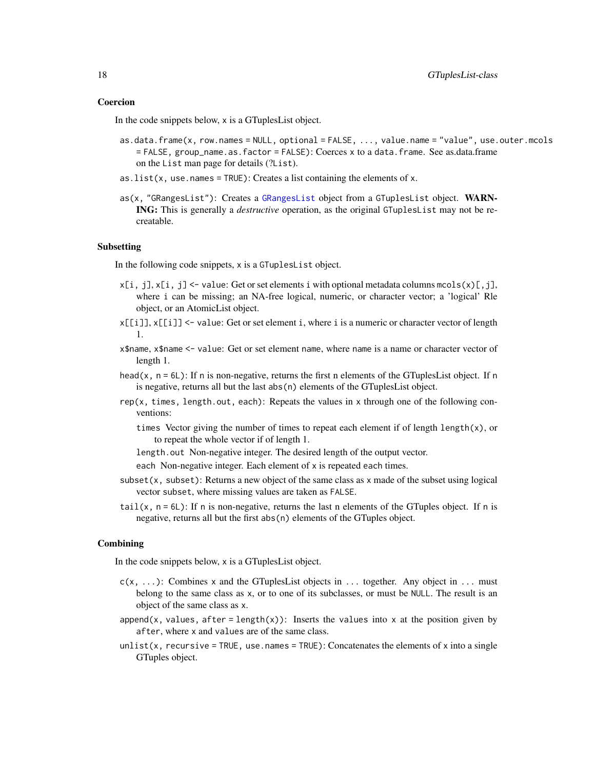#### <span id="page-17-0"></span>Coercion

In the code snippets below, x is a GTuplesList object.

- as.data.frame(x, row.names = NULL, optional = FALSE, ..., value.name = "value", use.outer.mcols = FALSE, group\_name.as.factor = FALSE): Coerces x to a data.frame. See as.data.frame on the List man page for details (?List).
- as. list( $x$ , use. names = TRUE): Creates a list containing the elements of  $x$ .
- as(x, "GRangesList"): Creates a [GRangesList](#page-0-0) object from a GTuplesList object. WARN-ING: This is generally a *destructive* operation, as the original GTuplesList may not be recreatable.

#### Subsetting

In the following code snippets, x is a GTuplesList object.

- $x[i, j], x[i, j] \le$  value: Get or set elements i with optional metadata columns mcols $(x)[, j]$ , where i can be missing; an NA-free logical, numeric, or character vector; a 'logical' Rle object, or an AtomicList object.
- x[[i]], x[[i]] <- value: Get or set element i, where i is a numeric or character vector of length 1.
- x\$name, x\$name <- value: Get or set element name, where name is a name or character vector of length 1.
- head(x,  $n = 6L$ ): If n is non-negative, returns the first n elements of the GTuplesList object. If n is negative, returns all but the last abs(n) elements of the GTuplesList object.
- rep(x, times, length.out, each): Repeats the values in x through one of the following conventions:
	- times Vector giving the number of times to repeat each element if of length length $(x)$ , or to repeat the whole vector if of length 1.
	- length.out Non-negative integer. The desired length of the output vector.

each Non-negative integer. Each element of x is repeated each times.

- subset $(x, \text{subset})$ : Returns a new object of the same class as x made of the subset using logical vector subset, where missing values are taken as FALSE.
- tail(x,  $n = 6L$ ): If n is non-negative, returns the last n elements of the GTuples object. If n is negative, returns all but the first abs(n) elements of the GTuples object.

#### Combining

In the code snippets below, x is a GTuplesList object.

- $c(x, \ldots)$ : Combines x and the GTuplesList objects in ... together. Any object in ... must belong to the same class as x, or to one of its subclasses, or must be NULL. The result is an object of the same class as x.
- append(x, values, after = length(x)): Inserts the values into x at the position given by after, where x and values are of the same class.
- unlist(x, recursive = TRUE, use.names = TRUE): Concatenates the elements of x into a single GTuples object.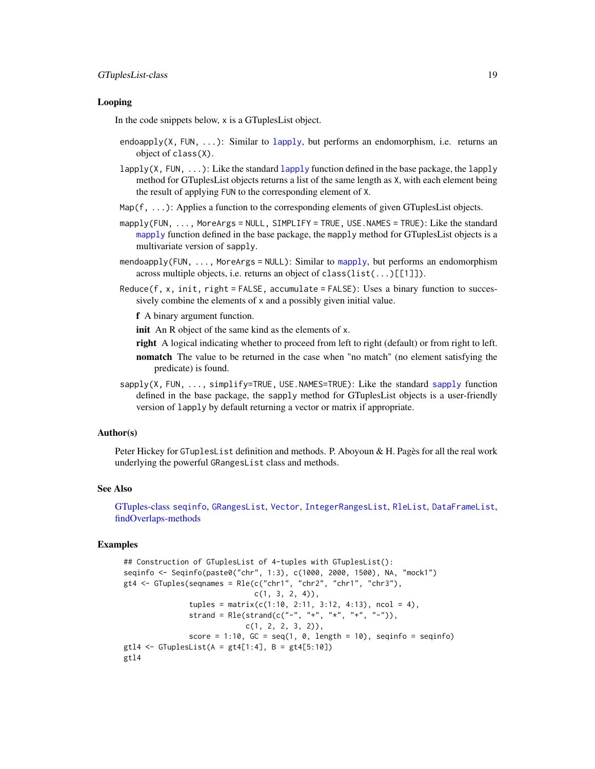### <span id="page-18-0"></span>Looping

In the code snippets below, x is a GTuplesList object.

- endoapply(X, FUN,  $\dots$ ): Similar to [lapply](#page-0-0), but performs an endomorphism, i.e. returns an object of class(X).
- [lapply](#page-0-0)( $X$ , FUN,  $\dots$ ): Like the standard lapply function defined in the base package, the lapply method for GTuplesList objects returns a list of the same length as X, with each element being the result of applying FUN to the corresponding element of X.
- $Map(f, \ldots)$ : Applies a function to the corresponding elements of given GTuplesList objects.
- mapply(FUN, ..., MoreArgs = NULL, SIMPLIFY = TRUE, USE.NAMES = TRUE): Like the standard [mapply](#page-0-0) function defined in the base package, the mapply method for GTuplesList objects is a multivariate version of sapply.
- mendoapply(FUN, ..., MoreArgs = NULL): Similar to [mapply](#page-0-0), but performs an endomorphism across multiple objects, i.e. returns an object of class( $list(...)[[1]]$ ).
- Reduce(f, x, init, right = FALSE, accumulate = FALSE): Uses a binary function to successively combine the elements of x and a possibly given initial value.

f A binary argument function.

init An R object of the same kind as the elements of x.

right A logical indicating whether to proceed from left to right (default) or from right to left.

- nomatch The value to be returned in the case when "no match" (no element satisfying the predicate) is found.
- sapply(X, FUN, ..., simplify=TRUE, USE.NAMES=TRUE): Like the standard [sapply](#page-0-0) function defined in the base package, the sapply method for GTuplesList objects is a user-friendly version of lapply by default returning a vector or matrix if appropriate.

## Author(s)

Peter Hickey for GTuplesList definition and methods. P. Aboyoun & H. Pagès for all the real work underlying the powerful GRangesList class and methods.

### See Also

[GTuples-class](#page-5-2) [seqinfo](#page-0-0), [GRangesList](#page-0-0), [Vector](#page-0-0), [IntegerRangesList](#page-0-0), [RleList](#page-0-0), [DataFrameList](#page-0-0), [findOverlaps-methods](#page-2-2)

```
## Construction of GTuplesList of 4-tuples with GTuplesList():
seqinfo <- Seqinfo(paste0("chr", 1:3), c(1000, 2000, 1500), NA, "mock1")
gt4 \leftarrow GTuples(seqnames = Rle(c("chr1", "chr2", "chr1", "chr3"),
                              c(1, 3, 2, 4),
               tuples = matrix(c(1:10, 2:11, 3:12, 4:13), ncol = 4),strand = Rle(startand(c("-" , "+", "*", "+", "-")),
                            c(1, 2, 2, 3, 2),
               score = 1:10, GC = seq(1, 0, length = 10), seqinfo = seqinfo)
gtl4 <- GTuplesList(A = gt4[1:4], B = gt4[5:10])
gtl4
```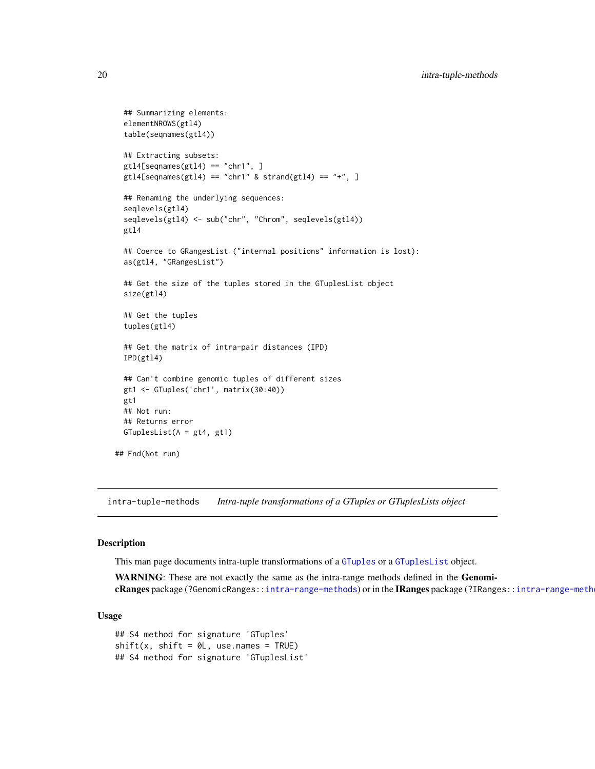```
## Summarizing elements:
 elementNROWS(gtl4)
 table(seqnames(gtl4))
 ## Extracting subsets:
 gt14[seqnames(gtl4) == "chr1", ]
 gtl4[seqnames(gtl4) == "chr1" & strand(gtl4) == "+'', ]## Renaming the underlying sequences:
 seqlevels(gtl4)
 seqlevels(gtl4) <- sub("chr", "Chrom", seqlevels(gtl4))
 gtl4
 ## Coerce to GRangesList ("internal positions" information is lost):
 as(gtl4, "GRangesList")
 ## Get the size of the tuples stored in the GTuplesList object
 size(gtl4)
 ## Get the tuples
 tuples(gtl4)
 ## Get the matrix of intra-pair distances (IPD)
 IPD(gtl4)
 ## Can't combine genomic tuples of different sizes
 gt1 <- GTuples('chr1', matrix(30:40))
 gt1
 ## Not run:
 ## Returns error
 GTuplesList(A = gt4, gt1)
## End(Not run)
```
<span id="page-19-1"></span>intra-tuple-methods *Intra-tuple transformations of a GTuples or GTuplesLists object*

#### Description

This man page documents intra-tuple transformations of a [GTuples](#page-5-1) or a [GTuplesList](#page-15-1) object.

WARNING: These are not exactly the same as the intra-range methods defined in the Genomi-cRanges package (?GenomicRanges:[:intra-range-methods](#page-0-0)) or in the IRanges package (?IRanges::intra-range-meth

#### Usage

```
## S4 method for signature 'GTuples'
shift(x, shift = 0L, use.name = TRUE)## S4 method for signature 'GTuplesList'
```
<span id="page-19-0"></span>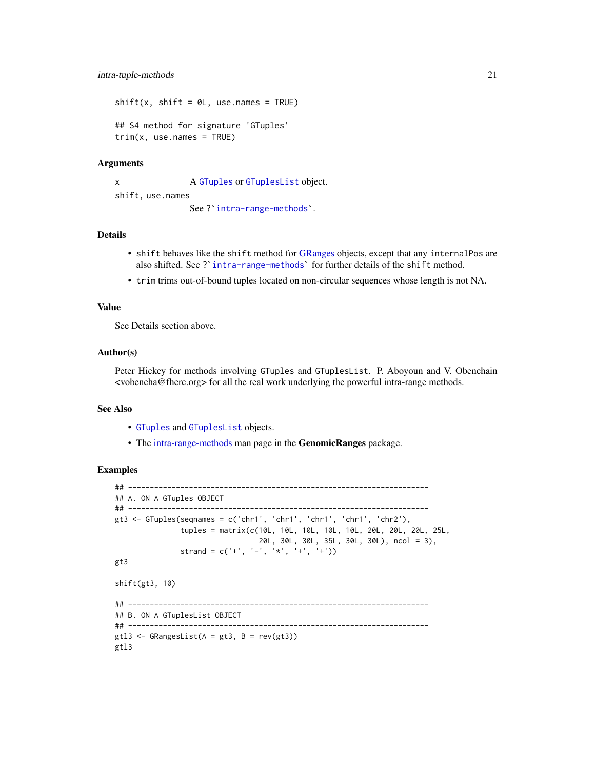<span id="page-20-0"></span> $shift(x, shift = 0L, use.name = TRUE)$ ## S4 method for signature 'GTuples'  $trim(x, use.name = TRUE)$ 

#### Arguments

x A [GTuples](#page-5-1) or [GTuplesList](#page-15-1) object. shift, use.names A GTuples or GTuplesList obje<br>See ?`[intra-range-methods](#page-0-0)`.

# Details

- shift behaves like the shift method for [GRanges](#page-0-0) objects, except that any internalPos are also shifted. See ? [intra-range-methods](#page-0-0)` for further details of the shift method.
- trim trims out-of-bound tuples located on non-circular sequences whose length is not NA.

#### Value

See Details section above.

# Author(s)

Peter Hickey for methods involving GTuples and GTuplesList. P. Aboyoun and V. Obenchain <vobencha@fhcrc.org> for all the real work underlying the powerful intra-range methods.

#### See Also

- [GTuples](#page-5-1) and [GTuplesList](#page-15-1) objects.
- The [intra-range-methods](#page-0-0) man page in the GenomicRanges package.

```
## ---------------------------------------------------------------------
## A. ON A GTuples OBJECT
## ---------------------------------------------------------------------
gt3 <- GTuples(seqnames = c('chr1', 'chr1', 'chr1', 'chr1', 'chr2'),
               tuples = matrix(c(10L, 10L, 10L, 10L, 10L, 20L, 20L, 20L, 25L,
                                 20L, 30L, 30L, 35L, 30L, 30L), ncol = 3),
               strand = c('+'', '-'', '*/', '+'', '+'')gt3
shift(gt3, 10)
## ---------------------------------------------------------------------
## B. ON A GTuplesList OBJECT
## ---------------------------------------------------------------------
gt13 \leq GRangesList(A = gt3, B = rev(gt3))
gtl3
```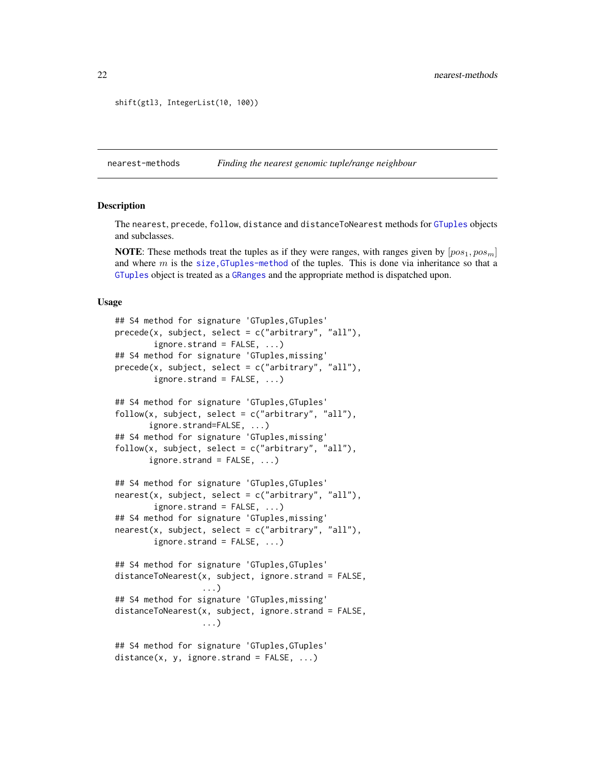```
shift(gtl3, IntegerList(10, 100))
```
<span id="page-21-1"></span>nearest-methods *Finding the nearest genomic tuple/range neighbour*

#### Description

The nearest, precede, follow, distance and distanceToNearest methods for [GTuples](#page-5-2) objects and subclasses.

**NOTE:** These methods treat the tuples as if they were ranges, with ranges given by  $[pos_1, pos_m]$ and where  $m$  is the size, GTuples-method of the tuples. This is done via inheritance so that a [GTuples](#page-5-1) object is treated as a [GRanges](#page-0-0) and the appropriate method is dispatched upon.

#### Usage

```
## S4 method for signature 'GTuples, GTuples'
precede(x, subject, select = c("arbitrary", "all"),
        ignore.strand = FALSE, ...)
## S4 method for signature 'GTuples,missing'
precede(x, subject, select = c("arbitrary", "all"),
        ignore.strand = FALSE, ...)
## S4 method for signature 'GTuples,GTuples'
follow(x, subject, select = c("arbitrary", "all"),ignore.strand=FALSE, ...)
## S4 method for signature 'GTuples,missing'
follow(x, subject, select = c("arbitrary", "all"),
       ignore.strand = FALSE, ...)## S4 method for signature 'GTuples,GTuples'
nearest(x, subject, select = c("arbitrary", "all"),
        ignore.strand = FALSE, ...)
## S4 method for signature 'GTuples,missing'
nearest(x, subject, select = c("arbitrary", "all"),
        ignore.strand = FALSE, ...)
## S4 method for signature 'GTuples,GTuples'
distanceToNearest(x, subject, ignore.strand = FALSE,
                  ...)
## S4 method for signature 'GTuples,missing'
distanceToNearest(x, subject, ignore.strand = FALSE,
                  ...)
## S4 method for signature 'GTuples,GTuples'
distance(x, y, ignore.strand = FALSE, ...)
```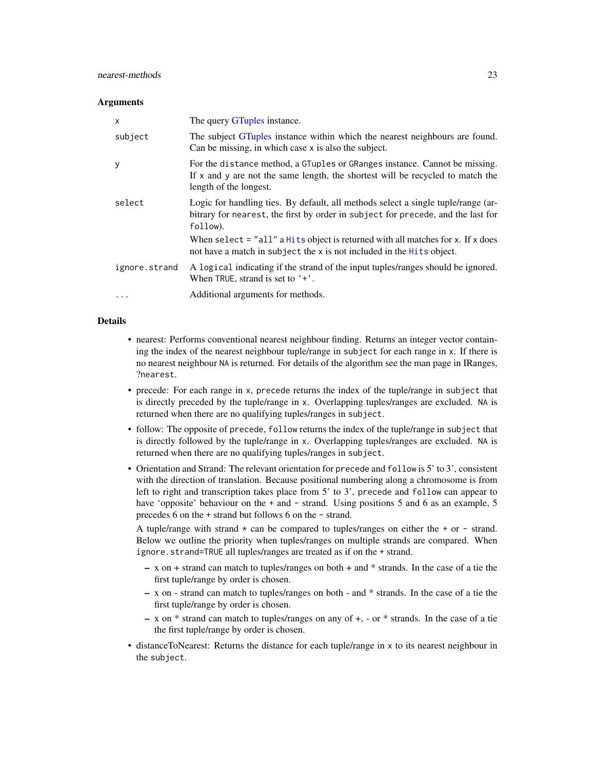#### <span id="page-22-0"></span>**Arguments**

| $\mathsf{x}$  | The query GTuples instance.                                                                                                                                                                |
|---------------|--------------------------------------------------------------------------------------------------------------------------------------------------------------------------------------------|
| subject       | The subject GTuples instance within which the nearest neighbours are found.<br>Can be missing, in which case x is also the subject.                                                        |
| y             | For the distance method, a GTuples or GRanges instance. Cannot be missing.<br>If $x$ and $y$ are not the same length, the shortest will be recycled to match the<br>length of the longest. |
| select        | Logic for handling ties. By default, all methods select a single tuple/range (ar-<br>bitrary for nearest, the first by order in subject for precede, and the last for<br>follow).          |
|               | When select $=$ "all" a Hits object is returned with all matches for x. If x does<br>not have a match in subject the x is not included in the Hits object.                                 |
| ignore.strand | A logical indicating if the strand of the input tuples/ranges should be ignored.<br>When TRUE, strand is set to $'+'.$                                                                     |
| $\cdots$      | Additional arguments for methods.                                                                                                                                                          |

# Details

- nearest: Performs conventional nearest neighbour finding. Returns an integer vector containing the index of the nearest neighbour tuple/range in subject for each range in x. If there is no nearest neighbour NA is returned. For details of the algorithm see the man page in IRanges, ?nearest.
- precede: For each range in x, precede returns the index of the tuple/range in subject that is directly preceded by the tuple/range in x. Overlapping tuples/ranges are excluded. NA is returned when there are no qualifying tuples/ranges in subject.
- follow: The opposite of precede, follow returns the index of the tuple/range in subject that is directly followed by the tuple/range in x. Overlapping tuples/ranges are excluded. NA is returned when there are no qualifying tuples/ranges in subject.
- Orientation and Strand: The relevant orientation for precede and follow is 5' to 3', consistent with the direction of translation. Because positional numbering along a chromosome is from left to right and transcription takes place from 5' to 3', precede and follow can appear to have 'opposite' behaviour on the + and - strand. Using positions 5 and 6 as an example, 5 precedes 6 on the + strand but follows 6 on the - strand.

A tuple/range with strand  $*$  can be compared to tuples/ranges on either the  $*$  or  $-$  strand. Below we outline the priority when tuples/ranges on multiple strands are compared. When ignore.strand=TRUE all tuples/ranges are treated as if on the + strand.

- x on + strand can match to tuples/ranges on both + and \* strands. In the case of a tie the first tuple/range by order is chosen.
- x on strand can match to tuples/ranges on both and \* strands. In the case of a tie the first tuple/range by order is chosen.
- x on \* strand can match to tuples/ranges on any of +, or \* strands. In the case of a tie the first tuple/range by order is chosen.
- distanceToNearest: Returns the distance for each tuple/range in x to its nearest neighbour in the subject.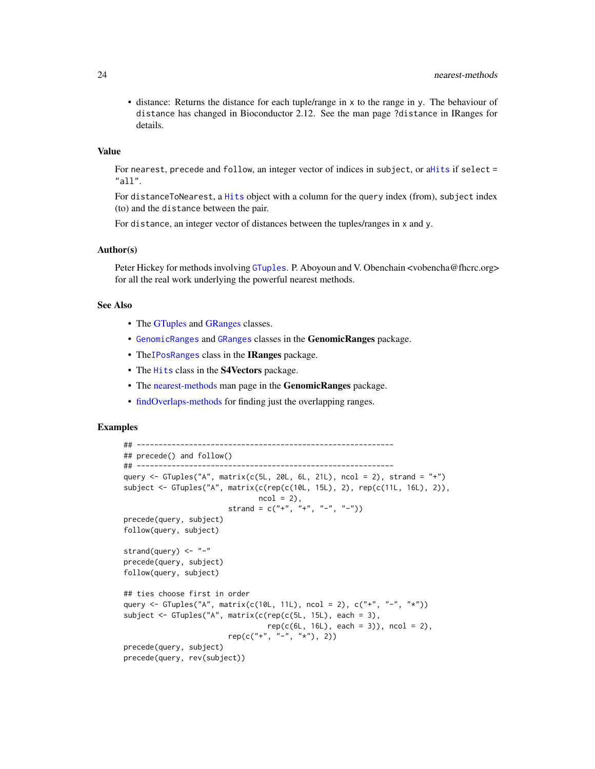<span id="page-23-0"></span>• distance: Returns the distance for each tuple/range in x to the range in y. The behaviour of distance has changed in Bioconductor 2.12. See the man page ?distance in IRanges for details.

#### Value

For nearest, precede and follow, an integer vector of indices in subject, or a[Hits](#page-0-0) if select = "all".

For distanceToNearest, a [Hits](#page-0-0) object with a column for the query index (from), subject index (to) and the distance between the pair.

For distance, an integer vector of distances between the tuples/ranges in x and y.

#### Author(s)

Peter Hickey for methods involving [GTuples](#page-5-1). P. Aboyoun and V. Obenchain <vobencha@fhcrc.org> for all the real work underlying the powerful nearest methods.

# See Also

- The [GTuples](#page-5-1) and [GRanges](#page-0-0) classes.
- [GenomicRanges](#page-0-0) and [GRanges](#page-0-0) classes in the GenomicRanges package.
- The IPos Ranges class in the IRanges package.
- The [Hits](#page-0-0) class in the S4Vectors package.
- The [nearest-methods](#page-21-1) man page in the **GenomicRanges** package.
- [findOverlaps-methods](#page-2-2) for finding just the overlapping ranges.

```
## -----------------------------------------------------------
## precede() and follow()
## -----------------------------------------------------------
query <- GTuples("A", matrix(c(5L, 20L, 6L, 21L), ncol = 2), strand = "+")
subject <- GTuples("A", matrix(c(rep(c(10L, 15L), 2), rep(c(11L, 16L), 2)),
                               ncol = 2,
                        strand = c("+", "+", "--", "--")precede(query, subject)
follow(query, subject)
strand(query) <- "-"
precede(query, subject)
follow(query, subject)
## ties choose first in order
query <- GTuples("A", matrix(c(10L, 11L), ncol = 2), c("+", "-", "*"))
subject <- GTuples("A", matrix(c(rep(c(5L, 15L), each = 3),
                                 rep(c(6L, 16L), each = 3)), ncol = 2),rep(c("''+", "-"", "**"), 2))precede(query, subject)
precede(query, rev(subject))
```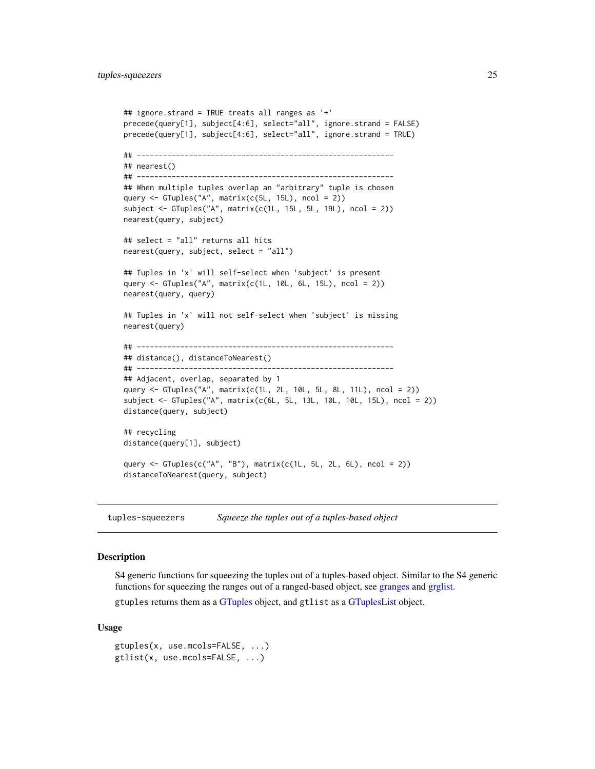```
## ignore.strand = TRUE treats all ranges as '+'
precede(query[1], subject[4:6], select="all", ignore.strand = FALSE)
precede(query[1], subject[4:6], select="all", ignore.strand = TRUE)
## -----------------------------------------------------------
## nearest()
## -----------------------------------------------------------
## When multiple tuples overlap an "arbitrary" tuple is chosen
query <- GTuples("A", matrix(c(5L, 15L), ncol = 2))
subject <- GTuples("A", matrix(c(1L, 15L, 5L, 19L), ncol = 2))
nearest(query, subject)
## select = "all" returns all hits
nearest(query, subject, select = "all")
## Tuples in 'x' will self-select when 'subject' is present
query <- GTuples("A", matrix(c(1L, 10L, 6L, 15L), ncol = 2))
nearest(query, query)
## Tuples in 'x' will not self-select when 'subject' is missing
nearest(query)
## -----------------------------------------------------------
## distance(), distanceToNearest()
## -----------------------------------------------------------
## Adjacent, overlap, separated by 1
query <- GTuples("A", matrix(c(1L, 2L, 10L, 5L, 8L, 11L), ncol = 2))
subject <- GTuples("A", matrix(c(6L, 5L, 13L, 10L, 10L, 15L), ncol = 2))
distance(query, subject)
## recycling
distance(query[1], subject)
query \le GTuples(c("A", "B"), matrix(c(1L, 5L, 2L, 6L), ncol = 2))
distanceToNearest(query, subject)
```
tuples-squeezers *Squeeze the tuples out of a tuples-based object*

#### Description

S4 generic functions for squeezing the tuples out of a tuples-based object. Similar to the S4 generic functions for squeezing the ranges out of a ranged-based object, see [granges](#page-0-0) and [grglist.](#page-0-0)

gtuples returns them as a [GTuples](#page-5-1) object, and gtlist as a [GTuplesList](#page-15-1) object.

#### Usage

```
gtuples(x, use.mcols=FALSE, ...)
gtlist(x, use.mcols=FALSE, ...)
```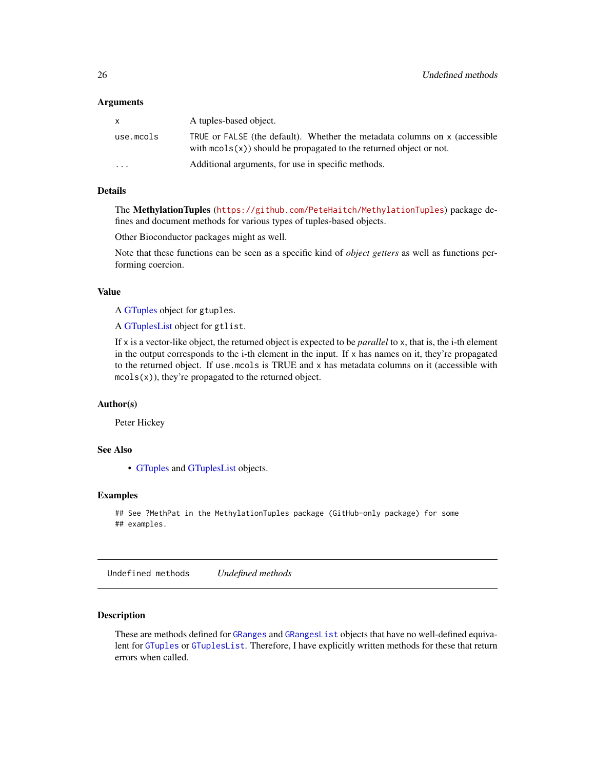#### <span id="page-25-0"></span>Arguments

| X         | A tuples-based object.                                                                                                                                   |
|-----------|----------------------------------------------------------------------------------------------------------------------------------------------------------|
| use.mcols | TRUE or FALSE (the default). Whether the metadata columns on x (accessible<br>with $\text{mcols}(x)$ should be propagated to the returned object or not. |
| $\cdots$  | Additional arguments, for use in specific methods.                                                                                                       |

# Details

The MethylationTuples (<https://github.com/PeteHaitch/MethylationTuples>) package defines and document methods for various types of tuples-based objects.

Other Bioconductor packages might as well.

Note that these functions can be seen as a specific kind of *object getters* as well as functions performing coercion.

# Value

A [GTuples](#page-5-1) object for gtuples.

A [GTuplesList](#page-15-1) object for gtlist.

If x is a vector-like object, the returned object is expected to be *parallel* to x, that is, the i-th element in the output corresponds to the i-th element in the input. If x has names on it, they're propagated to the returned object. If use.mcols is TRUE and x has metadata columns on it (accessible with  $mcols(x)$ , they're propagated to the returned object.

#### Author(s)

Peter Hickey

# See Also

• [GTuples](#page-5-1) and [GTuplesList](#page-15-1) objects.

#### Examples

```
## See ?MethPat in the MethylationTuples package (GitHub-only package) for some
## examples.
```
Undefined methods *Undefined methods*

# Description

These are methods defined for [GRanges](#page-0-0) and [GRangesList](#page-0-0) objects that have no well-defined equivalent for [GTuples](#page-5-1) or [GTuplesList](#page-15-1). Therefore, I have explicitly written methods for these that return errors when called.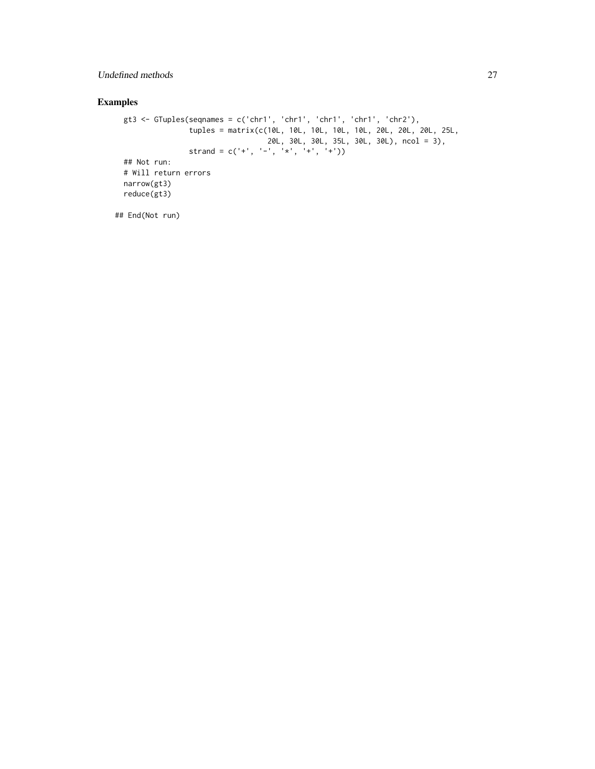# Undefined methods 27

# Examples

```
gt3 <- GTuples(seqnames = c('chr1', 'chr1', 'chr1', 'chr1', 'chr2'),
               tuples = matrix(c(10L, 10L, 10L, 10L, 10L, 20L, 20L, 20L, 25L,
                                  20L, 30L, 30L, 35L, 30L, 30L), ncol = 3),
                strand = c('+'', '-'', '*/', '+'', '+''))## Not run:
# Will return errors
narrow(gt3)
reduce(gt3)
```
## End(Not run)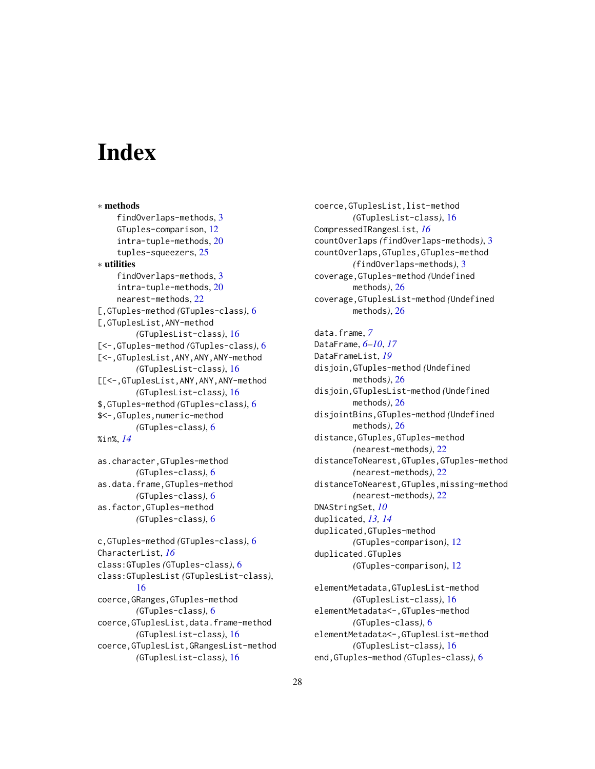# <span id="page-27-0"></span>**Index**

∗ methods findOverlaps-methods, [3](#page-2-0) GTuples-comparison, [12](#page-11-0) intra-tuple-methods, [20](#page-19-0) tuples-squeezers, [25](#page-24-0) ∗ utilities findOverlaps-methods, [3](#page-2-0) intra-tuple-methods, [20](#page-19-0) nearest-methods, [22](#page-21-0) [,GTuples-method *(*GTuples-class*)*, [6](#page-5-0) [,GTuplesList,ANY-method *(*GTuplesList-class*)*, [16](#page-15-0) [<-,GTuples-method *(*GTuples-class*)*, [6](#page-5-0) [<-,GTuplesList,ANY,ANY,ANY-method *(*GTuplesList-class*)*, [16](#page-15-0) [[<-,GTuplesList,ANY,ANY,ANY-method *(*GTuplesList-class*)*, [16](#page-15-0) \$,GTuples-method *(*GTuples-class*)*, [6](#page-5-0) \$<-,GTuples,numeric-method *(*GTuples-class*)*, [6](#page-5-0) %in%, *[14](#page-13-0)*

as.character,GTuples-method *(*GTuples-class*)*, [6](#page-5-0) as.data.frame,GTuples-method *(*GTuples-class*)*, [6](#page-5-0) as.factor,GTuples-method *(*GTuples-class*)*, [6](#page-5-0)

```
c,GTuples-method (GTuples-class), 6
CharacterList, 16
class:GTuples (GTuples-class), 6
class:GTuplesList (GTuplesList-class),
        16
coerce,GRanges,GTuples-method
        (GTuples-class), 6
coerce,GTuplesList,data.frame-method
        (GTuplesList-class), 16
coerce,GTuplesList,GRangesList-method
        (GTuplesList-class), 16
```
coerce,GTuplesList,list-method *(*GTuplesList-class*)*, [16](#page-15-0) CompressedIRangesList, *[16](#page-15-0)* countOverlaps *(*findOverlaps-methods*)*, [3](#page-2-0) countOverlaps,GTuples,GTuples-method *(*findOverlaps-methods*)*, [3](#page-2-0) coverage,GTuples-method *(*Undefined methods*)*, [26](#page-25-0) coverage,GTuplesList-method *(*Undefined methods*)*, [26](#page-25-0)

data.frame, *[7](#page-6-0)* DataFrame, *[6](#page-5-0)[–10](#page-9-0)*, *[17](#page-16-0)* DataFrameList, *[19](#page-18-0)* disjoin,GTuples-method *(*Undefined methods*)*, [26](#page-25-0) disjoin,GTuplesList-method *(*Undefined methods*)*, [26](#page-25-0) disjointBins,GTuples-method *(*Undefined methods*)*, [26](#page-25-0) distance,GTuples,GTuples-method *(*nearest-methods*)*, [22](#page-21-0) distanceToNearest,GTuples,GTuples-method *(*nearest-methods*)*, [22](#page-21-0) distanceToNearest,GTuples,missing-method *(*nearest-methods*)*, [22](#page-21-0) DNAStringSet, *[10](#page-9-0)* duplicated, *[13,](#page-12-0) [14](#page-13-0)* duplicated,GTuples-method *(*GTuples-comparison*)*, [12](#page-11-0) duplicated.GTuples *(*GTuples-comparison*)*, [12](#page-11-0)

elementMetadata,GTuplesList-method *(*GTuplesList-class*)*, [16](#page-15-0) elementMetadata<-,GTuples-method *(*GTuples-class*)*, [6](#page-5-0) elementMetadata<-,GTuplesList-method *(*GTuplesList-class*)*, [16](#page-15-0) end,GTuples-method *(*GTuples-class*)*, [6](#page-5-0)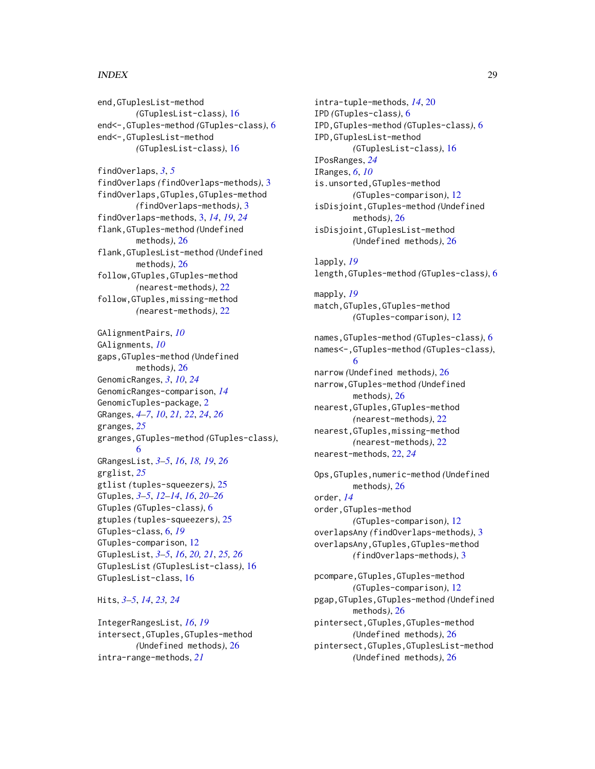#### INDEX 29

end,GTuplesList-method *(*GTuplesList-class*)*, [16](#page-15-0) end<-,GTuples-method *(*GTuples-class*)*, [6](#page-5-0) end<-,GTuplesList-method *(*GTuplesList-class*)*, [16](#page-15-0)

findOverlaps, *[3](#page-2-0)*, *[5](#page-4-0)* findOverlaps *(*findOverlaps-methods*)*, [3](#page-2-0) findOverlaps,GTuples,GTuples-method *(*findOverlaps-methods*)*, [3](#page-2-0) findOverlaps-methods, [3,](#page-2-0) *[14](#page-13-0)*, *[19](#page-18-0)*, *[24](#page-23-0)* flank,GTuples-method *(*Undefined methods*)*, [26](#page-25-0) flank,GTuplesList-method *(*Undefined methods*)*, [26](#page-25-0) follow,GTuples,GTuples-method *(*nearest-methods*)*, [22](#page-21-0) follow,GTuples,missing-method *(*nearest-methods*)*, [22](#page-21-0)

GAlignmentPairs, *[10](#page-9-0)* GAlignments, *[10](#page-9-0)* gaps,GTuples-method *(*Undefined methods*)*, [26](#page-25-0) GenomicRanges, *[3](#page-2-0)*, *[10](#page-9-0)*, *[24](#page-23-0)* GenomicRanges-comparison, *[14](#page-13-0)* GenomicTuples-package, [2](#page-1-0) GRanges, *[4](#page-3-0)[–7](#page-6-0)*, *[10](#page-9-0)*, *[21,](#page-20-0) [22](#page-21-0)*, *[24](#page-23-0)*, *[26](#page-25-0)* granges, *[25](#page-24-0)* granges,GTuples-method *(*GTuples-class*)*, [6](#page-5-0) GRangesList, *[3](#page-2-0)[–5](#page-4-0)*, *[16](#page-15-0)*, *[18,](#page-17-0) [19](#page-18-0)*, *[26](#page-25-0)* grglist, *[25](#page-24-0)* gtlist *(*tuples-squeezers*)*, [25](#page-24-0) GTuples, *[3](#page-2-0)[–5](#page-4-0)*, *[12](#page-11-0)[–14](#page-13-0)*, *[16](#page-15-0)*, *[20–](#page-19-0)[26](#page-25-0)* GTuples *(*GTuples-class*)*, [6](#page-5-0) gtuples *(*tuples-squeezers*)*, [25](#page-24-0) GTuples-class, [6,](#page-5-0) *[19](#page-18-0)* GTuples-comparison, [12](#page-11-0) GTuplesList, *[3](#page-2-0)[–5](#page-4-0)*, *[16](#page-15-0)*, *[20,](#page-19-0) [21](#page-20-0)*, *[25,](#page-24-0) [26](#page-25-0)* GTuplesList *(*GTuplesList-class*)*, [16](#page-15-0) GTuplesList-class, [16](#page-15-0)

# Hits, *[3](#page-2-0)[–5](#page-4-0)*, *[14](#page-13-0)*, *[23,](#page-22-0) [24](#page-23-0)*

IntegerRangesList, *[16](#page-15-0)*, *[19](#page-18-0)* intersect,GTuples,GTuples-method *(*Undefined methods*)*, [26](#page-25-0) intra-range-methods, *[21](#page-20-0)*

intra-tuple-methods, *[14](#page-13-0)*, [20](#page-19-0) IPD *(*GTuples-class*)*, [6](#page-5-0) IPD,GTuples-method *(*GTuples-class*)*, [6](#page-5-0) IPD,GTuplesList-method *(*GTuplesList-class*)*, [16](#page-15-0) IPosRanges, *[24](#page-23-0)* IRanges, *[6](#page-5-0)*, *[10](#page-9-0)* is.unsorted,GTuples-method *(*GTuples-comparison*)*, [12](#page-11-0) isDisjoint,GTuples-method *(*Undefined methods*)*, [26](#page-25-0) isDisjoint,GTuplesList-method *(*Undefined methods*)*, [26](#page-25-0)

lapply, *[19](#page-18-0)* length,GTuples-method *(*GTuples-class*)*, [6](#page-5-0)

mapply, *[19](#page-18-0)* match,GTuples,GTuples-method *(*GTuples-comparison*)*, [12](#page-11-0)

names,GTuples-method *(*GTuples-class*)*, [6](#page-5-0) names<-,GTuples-method *(*GTuples-class*)*, [6](#page-5-0) narrow *(*Undefined methods*)*, [26](#page-25-0) narrow,GTuples-method *(*Undefined methods*)*, [26](#page-25-0) nearest,GTuples,GTuples-method *(*nearest-methods*)*, [22](#page-21-0) nearest,GTuples,missing-method

*(*nearest-methods*)*, [22](#page-21-0) nearest-methods, [22,](#page-21-0) *[24](#page-23-0)*

Ops,GTuples,numeric-method *(*Undefined methods*)*, [26](#page-25-0) order, *[14](#page-13-0)* order,GTuples-method *(*GTuples-comparison*)*, [12](#page-11-0) overlapsAny *(*findOverlaps-methods*)*, [3](#page-2-0) overlapsAny,GTuples,GTuples-method *(*findOverlaps-methods*)*, [3](#page-2-0)

pcompare,GTuples,GTuples-method *(*GTuples-comparison*)*, [12](#page-11-0) pgap,GTuples,GTuples-method *(*Undefined methods*)*, [26](#page-25-0) pintersect,GTuples,GTuples-method *(*Undefined methods*)*, [26](#page-25-0) pintersect,GTuples,GTuplesList-method *(*Undefined methods*)*, [26](#page-25-0)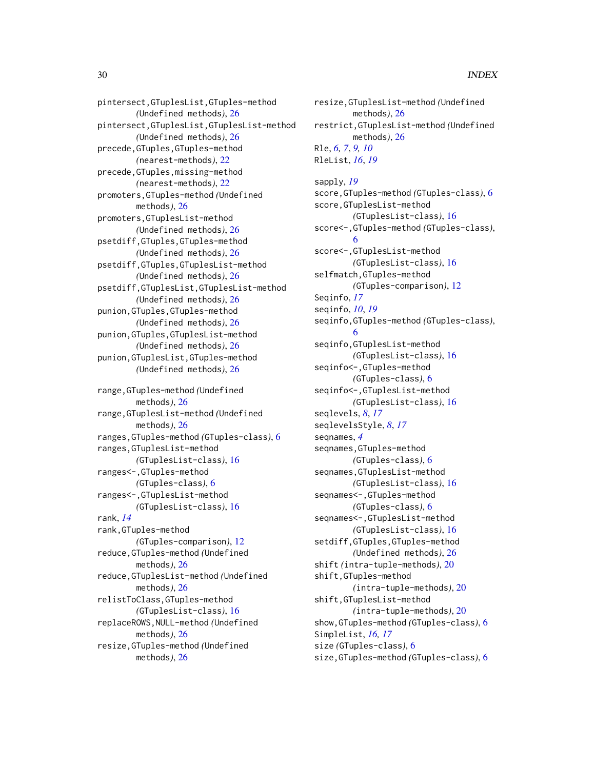pintersect,GTuplesList,GTuples-method *(*Undefined methods*)*, [26](#page-25-0) pintersect,GTuplesList,GTuplesList-method *(*Undefined methods*)*, [26](#page-25-0) precede,GTuples,GTuples-method *(*nearest-methods*)*, [22](#page-21-0) precede,GTuples,missing-method *(*nearest-methods*)*, [22](#page-21-0) promoters,GTuples-method *(*Undefined methods*)*, [26](#page-25-0) promoters,GTuplesList-method *(*Undefined methods*)*, [26](#page-25-0) psetdiff,GTuples,GTuples-method *(*Undefined methods*)*, [26](#page-25-0) psetdiff,GTuples,GTuplesList-method *(*Undefined methods*)*, [26](#page-25-0) psetdiff,GTuplesList,GTuplesList-method *(*Undefined methods*)*, [26](#page-25-0) punion,GTuples,GTuples-method *(*Undefined methods*)*, [26](#page-25-0) punion,GTuples,GTuplesList-method *(*Undefined methods*)*, [26](#page-25-0) punion,GTuplesList,GTuples-method *(*Undefined methods*)*, [26](#page-25-0) range,GTuples-method *(*Undefined methods*)*, [26](#page-25-0) range,GTuplesList-method *(*Undefined methods*)*, [26](#page-25-0) ranges,GTuples-method *(*GTuples-class*)*, [6](#page-5-0) ranges,GTuplesList-method *(*GTuplesList-class*)*, [16](#page-15-0) ranges<-,GTuples-method *(*GTuples-class*)*, [6](#page-5-0) ranges<-,GTuplesList-method *(*GTuplesList-class*)*, [16](#page-15-0) rank, *[14](#page-13-0)* rank,GTuples-method *(*GTuples-comparison*)*, [12](#page-11-0) reduce,GTuples-method *(*Undefined methods*)*, [26](#page-25-0) reduce,GTuplesList-method *(*Undefined methods*)*, [26](#page-25-0) relistToClass,GTuples-method *(*GTuplesList-class*)*, [16](#page-15-0) replaceROWS,NULL-method *(*Undefined methods*)*, [26](#page-25-0) resize,GTuples-method *(*Undefined methods*)*, [26](#page-25-0)

resize,GTuplesList-method *(*Undefined methods*)*, [26](#page-25-0) restrict,GTuplesList-method *(*Undefined methods*)*, [26](#page-25-0) Rle, *[6,](#page-5-0) [7](#page-6-0)*, *[9,](#page-8-0) [10](#page-9-0)* RleList, *[16](#page-15-0)*, *[19](#page-18-0)* sapply, *[19](#page-18-0)* score,GTuples-method *(*GTuples-class*)*, [6](#page-5-0) score,GTuplesList-method *(*GTuplesList-class*)*, [16](#page-15-0)

score<-,GTuples-method *(*GTuples-class*)*, [6](#page-5-0) score<-,GTuplesList-method *(*GTuplesList-class*)*, [16](#page-15-0) selfmatch,GTuples-method *(*GTuples-comparison*)*, [12](#page-11-0) Seqinfo, *[17](#page-16-0)* seqinfo, *[10](#page-9-0)*, *[19](#page-18-0)* seqinfo,GTuples-method *(*GTuples-class*)*, [6](#page-5-0) seqinfo,GTuplesList-method *(*GTuplesList-class*)*, [16](#page-15-0) seqinfo<-,GTuples-method *(*GTuples-class*)*, [6](#page-5-0) seqinfo<-,GTuplesList-method *(*GTuplesList-class*)*, [16](#page-15-0) seqlevels, *[8](#page-7-0)*, *[17](#page-16-0)* seqlevelsStyle, *[8](#page-7-0)*, *[17](#page-16-0)* seqnames, *[4](#page-3-0)* seqnames,GTuples-method *(*GTuples-class*)*, [6](#page-5-0) seqnames,GTuplesList-method *(*GTuplesList-class*)*, [16](#page-15-0) seqnames<-,GTuples-method *(*GTuples-class*)*, [6](#page-5-0) seqnames<-,GTuplesList-method *(*GTuplesList-class*)*, [16](#page-15-0) setdiff,GTuples,GTuples-method *(*Undefined methods*)*, [26](#page-25-0) shift *(*intra-tuple-methods*)*, [20](#page-19-0) shift,GTuples-method *(*intra-tuple-methods*)*, [20](#page-19-0) shift,GTuplesList-method *(*intra-tuple-methods*)*, [20](#page-19-0) show,GTuples-method *(*GTuples-class*)*, [6](#page-5-0) SimpleList, *[16,](#page-15-0) [17](#page-16-0)* size *(*GTuples-class*)*, [6](#page-5-0) size,GTuples-method *(*GTuples-class*)*, [6](#page-5-0)